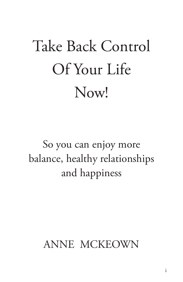# Take Back Control Of Your Life Now!

So you can enjoy more balance, healthy relationships and happiness

# ANNE MCKEOWN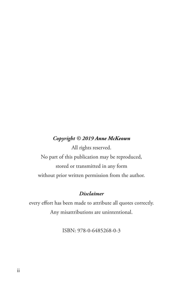#### *Copyright © 2019 Anne McKeown*

All rights reserved. No part of this publication may be reproduced, stored or transmitted in any form without prior written permission from the author.

#### *Disclaimer*

every effort has been made to attribute all quotes correctly. Any misattributions are unintentional.

ISBN: 978-0-6485268-0-3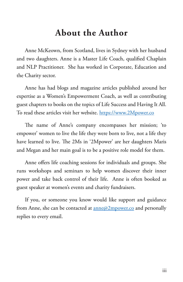# **About the Author**

Anne McKeown, from Scotland, lives in Sydney with her husband and two daughters. Anne is a Master Life Coach, qualified Chaplain and NLP Practitioner. She has worked in Corporate, Education and the Charity sector.

Anne has had blogs and magazine articles published around her expertise as a Women's Empowerment Coach, as well as contributing guest chapters to books on the topics of Life Success and Having It All. To read these articles visit her website. https://www.2Mpower.co

The name of Anne's company encompasses her mission; 'to empower' women to live the life they were born to live, not a life they have learned to live. The 2Ms in '2Mpower' are her daughters Maris and Megan and her main goal is to be a positive role model for them.

Anne offers life coaching sessions for individuals and groups. She runs workshops and seminars to help women discover their inner power and take back control of their life. Anne is often booked as guest speaker at women's events and charity fundraisers.

If you, or someone you know would like support and guidance from Anne, she can be contacted at <u>anne@2mpower.co</u> and personally replies to every email.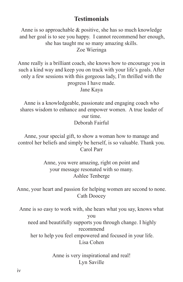#### **Testimonials**

Anne is so approachable & positive, she has so much knowledge and her goal is to see you happy. I cannot recommend her enough, she has taught me so many amazing skills. Zoe Wieringa

Anne really is a brilliant coach, she knows how to encourage you in such a kind way and keep you on track with your life's goals. After only a few sessions with this gorgeous lady, I'm thrilled with the progress I have made. Jane Kaya

Anne is a knowledgeable, passionate and engaging coach who shares wisdom to enhance and empower women. A true leader of our time. Deborah Fairful

Anne, your special gift, to show a woman how to manage and control her beliefs and simply be herself, is so valuable. Thank you. Carol Parr

> Anne, you were amazing, right on point and your message resonated with so many. Ashlee Tenberge

Anne, your heart and passion for helping women are second to none. Cath Doocey

Anne is so easy to work with, she hears what you say, knows what you need and beautifully supports you through change. I highly recommend

 her to help you feel empowered and focused in your life. Lisa Cohen

> Anne is very inspirational and real! Lyn Saville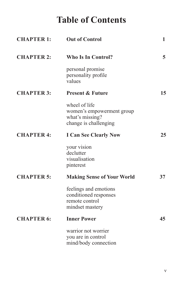# **Table of Contents**

| <b>CHAPTER 1:</b> | <b>Out of Control</b>                                                                  | 1  |
|-------------------|----------------------------------------------------------------------------------------|----|
| <b>CHAPTER 2:</b> | <b>Who Is In Control?</b>                                                              | 5  |
|                   | personal promise<br>personality profile<br>values                                      |    |
| <b>CHAPTER 3:</b> | <b>Present &amp; Future</b>                                                            | 15 |
|                   | wheel of life<br>women's empowerment group<br>what's missing?<br>change is challenging |    |
| <b>CHAPTER 4:</b> | <b>I Can See Clearly Now</b>                                                           | 25 |
|                   | your vision<br>declutter<br>visualisation<br>pinterest                                 |    |
| <b>CHAPTER 5:</b> | <b>Making Sense of Your World</b>                                                      | 37 |
|                   | feelings and emotions<br>conditioned responses<br>remote control<br>mindset mastery    |    |
| <b>CHAPTER 6:</b> | <b>Inner Power</b>                                                                     | 45 |
|                   | warrior not worrier<br>you are in control<br>mind/body connection                      |    |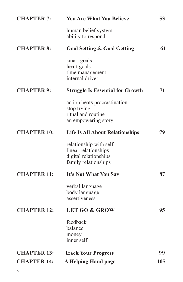| <b>CHAPTER 7:</b>        | <b>You Are What You Believe</b>                                                                 | 53  |
|--------------------------|-------------------------------------------------------------------------------------------------|-----|
|                          | human belief system<br>ability to respond                                                       |     |
| <b>CHAPTER 8:</b>        | <b>Goal Setting &amp; Goal Getting</b>                                                          | 61  |
|                          | smart goals<br>heart goals<br>time management<br>internal driver                                |     |
| <b>CHAPTER 9:</b>        | <b>Struggle Is Essential for Growth</b>                                                         | 71  |
|                          | action beats procrastination<br>stop trying<br>ritual and routine<br>an empowering story        |     |
| <b>CHAPTER 10:</b>       | <b>Life Is All About Relationships</b>                                                          | 79  |
|                          | relationship with self<br>linear relationships<br>digital relationships<br>family relationships |     |
| <b>CHAPTER 11:</b>       | It's Not What You Say                                                                           | 87  |
|                          | verbal language<br>body language<br>assertiveness                                               |     |
| <b>CHAPTER 12:</b>       | <b>LET GO &amp; GROW</b>                                                                        | 95  |
|                          | feedback<br>balance<br>money<br>inner self                                                      |     |
| <b>CHAPTER 13:</b>       | <b>Track Your Progress</b>                                                                      | 99  |
| <b>CHAPTER 14:</b><br>vi | <b>A Helping Hand page</b>                                                                      | 105 |
|                          |                                                                                                 |     |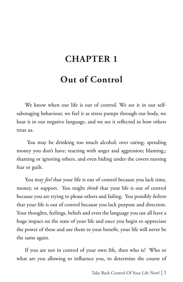# **CHAPTER 1**

# **Out of Control**

We know when our life is out of control. We see it in our selfsabotaging behaviour, we feel it as stress pumps through our body, we hear it in our negative language, and we see it reflected in how others treat us.

 You may be drinking too much alcohol; over eating; spending money you don't have; reacting with anger and aggression; blaming,; shaming or ignoring others, and even hiding under the covers nursing fear or guilt.

You may *feel* that your life is out of control because you lack time, money, or support. You might *think* that your life is out of control because you are trying to please others and failing. You possibly *believe* that your life is out of control because you lack purpose and direction. Your thoughts, feelings, beliefs and even the language you use all have a huge impact on the state of your life and once you begin to appreciate the power of these and use them to your benefit, your life will never be the same again.

If you are not in control of your own life, then who is? Who or what are you allowing to influence you, to determine the course of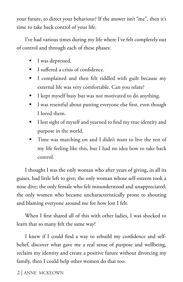your future, to direct your behaviour? If the answer isn't "me", then it's time to take back control of your life.

I've had various times during my life where I've felt completely out of control and through each of these phases:

- I was depressed.
- I suffered a crisis of confidence.
- I complained and then felt riddled with guilt because my external life was very comfortable. Can you relate?
- I kept myself busy but was not motivated to do anything.
- I was resentful about putting everyone else first, even though I loved them.
- I lost sight of myself and yearned to find my true identity and purpose in the world.
- Time was marching on and I didn't want to live the rest of my life feeling like this, but I had no idea how to take back control.

I thought I was the only woman who after years of giving, in all its guises, had little left to give; the only woman whose self-esteem took a nose dive; the only female who felt misunderstood and unappreciated; the only women who became uncharacteristically prone to shouting and blaming everyone around me for how lost I felt.

When I first shared all of this with other ladies, I was shocked to learn that so many felt the same way!

I knew if I could find a way to rebuild my confidence and selfbelief, discover what gave me a real sense of purpose and wellbeing, reclaim my identity and create a positive future without divorcing my family, then I could help other women do that too.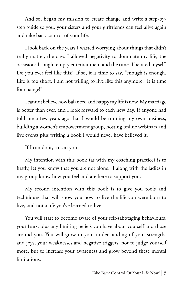And so, began my mission to create change and write a step-bystep guide so you, your sisters and your girlfriends can feel alive again and take back control of your life.

I look back on the years I wasted worrying about things that didn't really matter, the days I allowed negativity to dominate my life, the occasions I sought empty entertainment and the times I berated myself. Do you ever feel like this? If so, it is time to say, "enough is enough. Life is too short. I am not willing to live like this anymore. It is time for change!"

I cannot believe how balanced and happy my life is now. My marriage is better than ever, and I look forward to each new day. If anyone had told me a few years ago that I would be running my own business, building a women's empowerment group, hosting online webinars and live events plus writing a book I would never have believed it.

If I can do it, so can you.

My intention with this book (as with my coaching practice) is to firstly, let you know that you are not alone. I along with the ladies in my group know how you feel and are here to support you.

My second intention with this book is to give you tools and techniques that will show you how to live the life you were born to live, and not a life you've learned to live.

You will start to become aware of your self-sabotaging behaviours, your fears, plus any limiting beliefs you have about yourself and those around you. You will grow in your understanding of your strengths and joys, your weaknesses and negative triggers, not to judge yourself more, but to increase your awareness and grow beyond these mental limitations.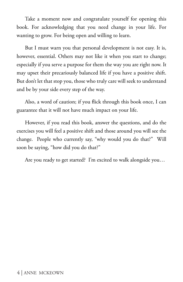Take a moment now and congratulate yourself for opening this book. For acknowledging that you need change in your life. For wanting to grow. For being open and willing to learn.

But I must warn you that personal development is not easy. It is, however, essential. Others may not like it when you start to change; especially if you serve a purpose for them the way you are right now. It may upset their precariously balanced life if you have a positive shift. But don't let that stop you, those who truly care will seek to understand and be by your side every step of the way.

Also, a word of caution; if you flick through this book once, I can guarantee that it will not have much impact on your life.

However, if you read this book, answer the questions, and do the exercises you will feel a positive shift and those around you will see the change. People who currently say, "why would you do that?" Will soon be saying, "how did you do that?"

Are you ready to get started? I'm excited to walk alongside you…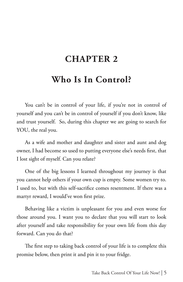# **CHAPTER 2**

## **Who Is In Control?**

You can't be in control of your life, if you're not in control of yourself and you can't be in control of yourself if you don't know, like and trust yourself. So, during this chapter we are going to search for YOU, the real you.

As a wife and mother and daughter and sister and aunt and dog owner, I had become so used to putting everyone else's needs first, that I lost sight of myself. Can you relate?

One of the big lessons I learned throughout my journey is that you cannot help others if your own cup is empty. Some women try to. I used to, but with this self-sacrifice comes resentment. If there was a martyr reward, I would've won first prize.

Behaving like a victim is unpleasant for you and even worse for those around you. I want you to declare that you will start to look after yourself and take responsibility for your own life from this day forward. Can you do that?

The first step to taking back control of your life is to complete this promise below, then print it and pin it to your fridge.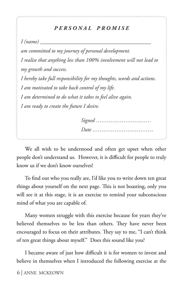#### *P E R S O N A L P R O M I S E*

 $I$  (name)

*am committed to my journey of personal development. I realise that anything less than 100% involvement will not lead to my growth and success. I hereby take full responsibility for my thoughts, words and actions. I am motivated to take back control of my life. I am determined to do what it takes to feel alive again. I am ready to create the future I desire.*

We all wish to be understood and often get upset when other people don't understand us. However, it is difficult for people to truly know us if we don't know ourselves!

To find out who you really are, I'd like you to write down ten great things about yourself on the next page. This is not boasting, only you will see it at this stage, it is an exercise to remind your subconscious mind of what you are capable of.

Many women struggle with this exercise because for years they've believed themselves to be less than others. They have never been encouraged to focus on their attributes. They say to me, "I can't think of ten great things about myself." Does this sound like you?

I became aware of just how difficult it is for women to invest and believe in themselves when I introduced the following exercise at the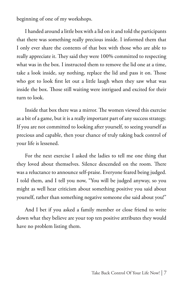beginning of one of my workshops.

I handed around a little box with a lid on it and told the participants that there was something really precious inside. I informed them that I only ever share the contents of that box with those who are able to really appreciate it. They said they were 100% committed to respecting what was in the box. I instructed them to remove the lid one at a time, take a look inside, say nothing, replace the lid and pass it on. Those who got to look first let out a little laugh when they saw what was inside the box. Those still waiting were intrigued and excited for their turn to look.

Inside that box there was a mirror. The women viewed this exercise as a bit of a game, but it is a really important part of any success strategy. If you are not committed to looking after yourself, to seeing yourself as precious and capable, then your chance of truly taking back control of your life is lessened.

For the next exercise I asked the ladies to tell me one thing that they loved about themselves. Silence descended on the room. There was a reluctance to announce self-praise. Everyone feared being judged. I told them, and I tell you now, "You will be judged anyway, so you might as well hear criticism about something positive you said about yourself, rather than something negative someone else said about you!"

And I bet if you asked a family member or close friend to write down what they believe are your top ten positive attributes they would have no problem listing them.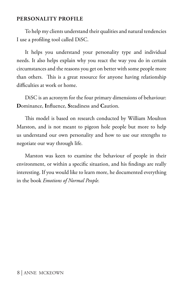#### **PERSONALITY PROFILE**

To help my clients understand their qualities and natural tendencies I use a profiling tool called DiSC.

It helps you understand your personality type and individual needs. It also helps explain why you react the way you do in certain circumstances and the reasons you get on better with some people more than others. This is a great resource for anyone having relationship difficulties at work or home.

DiSC is an acronym for the four primary dimensions of behaviour: **D**ominance, **I**nfluence, **S**teadiness and **C**aution.

This model is based on research conducted by William Moulton Marston, and is not meant to pigeon hole people but more to help us understand our own personality and how to use our strengths to negotiate our way through life.

Marston was keen to examine the behaviour of people in their environment, or within a specific situation, and his findings are really interesting. If you would like to learn more, he documented everything in the book *Emotions of Normal People.*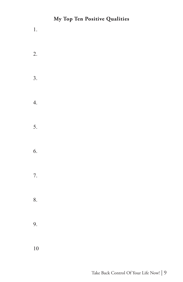#### **My Top Ten Positive Qualities**

1. 2. 3. 4. 5. 6. 7. 8. 9. 10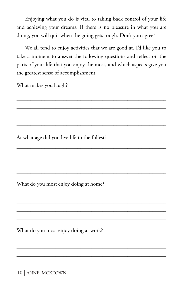Enjoying what you do is vital to taking back control of your life and achieving your dreams. If there is no pleasure in what you are doing, you will quit when the going gets tough. Don't you agree?

We all tend to enjoy activities that we are good at. I'd like you to take a moment to answer the following questions and reflect on the parts of your life that you enjoy the most, and which aspects give you the greatest sense of accomplishment.

\_\_\_\_\_\_\_\_\_\_\_\_\_\_\_\_\_\_\_\_\_\_\_\_\_\_\_\_\_\_\_\_\_\_\_\_\_\_\_\_\_\_\_\_\_\_\_\_\_\_\_\_\_\_ \_\_\_\_\_\_\_\_\_\_\_\_\_\_\_\_\_\_\_\_\_\_\_\_\_\_\_\_\_\_\_\_\_\_\_\_\_\_\_\_\_\_\_\_\_\_\_\_\_\_\_\_\_\_ \_\_\_\_\_\_\_\_\_\_\_\_\_\_\_\_\_\_\_\_\_\_\_\_\_\_\_\_\_\_\_\_\_\_\_\_\_\_\_\_\_\_\_\_\_\_\_\_\_\_\_\_\_\_ \_\_\_\_\_\_\_\_\_\_\_\_\_\_\_\_\_\_\_\_\_\_\_\_\_\_\_\_\_\_\_\_\_\_\_\_\_\_\_\_\_\_\_\_\_\_\_\_\_\_\_\_\_\_

 $\mathcal{L}_\text{max}$  and  $\mathcal{L}_\text{max}$  and  $\mathcal{L}_\text{max}$  and  $\mathcal{L}_\text{max}$  and  $\mathcal{L}_\text{max}$ \_\_\_\_\_\_\_\_\_\_\_\_\_\_\_\_\_\_\_\_\_\_\_\_\_\_\_\_\_\_\_\_\_\_\_\_\_\_\_\_\_\_\_\_\_\_\_\_\_\_\_\_\_\_

What makes you laugh?

At what age did you live life to the fullest?

What do you most enjoy doing at home?

What do you most enjoy doing at work?

10 | ANNE MCKEOWN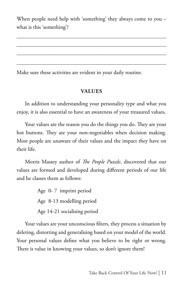When people need help with 'something' they always come to you – what is this 'something'?

Make sure these activities are evident in your daily routine.

#### **VALUES**

In addition to understanding your personality type and what you enjoy, it is also essential to have an awareness of your treasured values**.** 

Your values are the reason you do the things you do. They are your hot buttons. They are your non-negotiables when decision making. Most people are unaware of their values and the impact they have on their life.

Morris Massey author of *The People Puzzle*, discovered that our values are formed and developed during different periods of our life and he classes them as follows:

> Age 0- 7 imprint period Age 8-13 modelling period Age 14-21 socialising period

Your values are your unconscious filters, they process a situation by deleting, distorting and generalising based on your model of the world. Your personal values define what you believe to be right or wrong. There is value in knowing your values, so don't ignore them!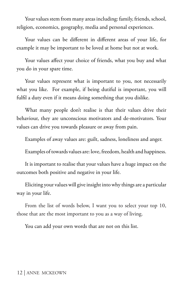Your values stem from many areas including: family, friends, school, religion, economics, geography, media and personal experiences.

Your values can be different in different areas of your life, for example it may be important to be loved at home but not at work.

Your values affect your choice of friends, what you buy and what you do in your spare time.

Your values represent what is important to you, not necessarily what you like. For example, if being dutiful is important, you will fulfil a duty even if it means doing something that you dislike.

What many people don't realise is that their values drive their behaviour, they are unconscious motivators and de-motivators. Your values can drive you towards pleasure or away from pain.

Examples of away values are: guilt, sadness, loneliness and anger.

Examples of towards values are: love, freedom, health and happiness.

It is important to realise that your values have a huge impact on the outcomes both positive and negative in your life.

Eliciting your values will give insight into why things are a particular way in your life.

From the list of words below, I want you to select your top 10, those that are the most important to you as a way of living.

You can add your own words that are not on this list.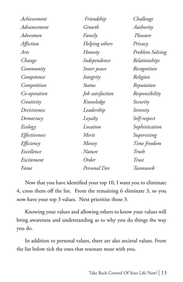| Achievement   | Friendship       | Challenge       |  |
|---------------|------------------|-----------------|--|
| Advancement   | Growth           | Authority       |  |
| Adventure     | Family           | Pleasure        |  |
| Affection     | Helping others   | Privacy         |  |
| Arts          | Honesty          | Problem Solving |  |
| Change        | Independence     | Relationships   |  |
| Community     | Inner peace      | Recognition     |  |
| Competence    | Integrity        | Religion        |  |
| Competition   | Status           | Reputation      |  |
| Co-operation  | Job satisfaction | Responsibility  |  |
| Creativity    | Knowledge        | Security        |  |
| Decisiveness  | Leadership       | Serenity        |  |
| Democracy     | Loyalty          | Self-respect    |  |
| Ecology       | Location         | Sophistication  |  |
| Effectiveness | Merit            | Supervising     |  |
| Efficiency    | Money            | Time freedom    |  |
| Excellence    | Nature           | Truth           |  |
| Excitement    | Order            | Trust           |  |
| Fame          | Personal Dev     | Teamwork        |  |

Now that you have identified your top 10, I want you to eliminate 4, cross them off the list. From the remaining 6 eliminate 3, so you now have your top 3 values. Next prioritise those 3.

Knowing your values and allowing others to know your values will bring awareness and understanding as to why you do things the way you do.

In addition to personal values, there are also societal values. From the list below tick the ones that resonate most with you.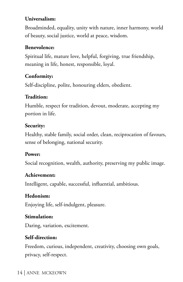#### **Universalism:**

Broadminded, equality, unity with nature, inner harmony, world of beauty, social justice, world at peace, wisdom.

#### **Benevolence:**

Spiritual life, mature love, helpful, forgiving, true friendship, meaning in life, honest, responsible, loyal.

#### **Conformity:**

Self-discipline, polite, honouring elders, obedient.

#### **Tradition:**

Humble, respect for tradition, devout, moderate, accepting my portion in life.

#### **Security:**

Healthy, stable family, social order, clean, reciprocation of favours, sense of belonging, national security.

#### **Power:**

Social recognition, wealth, authority, preserving my public image.

#### **Achievement:**

Intelligent, capable, successful, influential, ambitious.

#### **Hedonism:**

Enjoying life, self-indulgent, pleasure.

#### **Stimulation:**

Daring, variation, excitement.

#### **Self-direction:**

Freedom, curious, independent, creativity, choosing own goals, privacy, self-respect.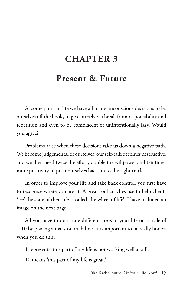# **CHAPTER 3**

## **Present & Future**

At some point in life we have all made unconscious decisions to let ourselves off the hook, to give ourselves a break from responsibility and repetition and even to be complacent or unintentionally lazy. Would you agree?

Problems arise when these decisions take us down a negative path. We become judgemental of ourselves, our self-talk becomes destructive, and we then need twice the effort, double the willpower and ten times more positivity to push ourselves back on to the right track.

In order to improve your life and take back control, you first have to recognise where you are at. A great tool coaches use to help clients 'see' the state of their life is called 'the wheel of life'. I have included an image on the next page.

All you have to do is rate different areas of your life on a scale of 1-10 by placing a mark on each line. It is important to be really honest when you do this.

1 represents 'this part of my life is not working well at all'.

10 means 'this part of my life is great.'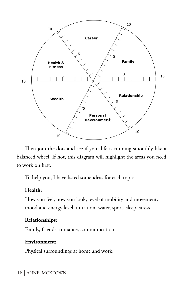

Then join the dots and see if your life is running smoothly like a balanced wheel. If not, this diagram will highlight the areas you need to work on first.

To help you, I have listed some ideas for each topic.

#### **Health:**

How you feel, how you look, level of mobility and movement, mood and energy level, nutrition, water, sport, sleep, stress.

#### **Relationships:**

Family, friends, romance, communication.

#### **Environment:**

Physical surroundings at home and work.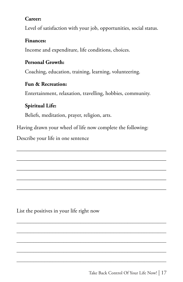#### **Career:**

Level of satisfaction with your job, opportunities, social status.

#### **Finances:**

Income and expenditure, life conditions, choices.

#### **Personal Growth:**

Coaching, education, training, learning, volunteering.

#### **Fun & Recreation:**

Entertainment, relaxation, travelling, hobbies, community.

#### **Spiritual Life:**

Beliefs, meditation, prayer, religion, arts.

Having drawn your wheel of life now complete the following:

 $\mathcal{L}_\text{max}$  , and the contract of the contract of the contract of the contract of the contract of the contract of the contract of the contract of the contract of the contract of the contract of the contract of the contr

 $\mathcal{L}_\text{max}$  , and the contract of the contract of the contract of the contract of the contract of the contract of the contract of the contract of the contract of the contract of the contract of the contract of the contr

 $\mathcal{L}_\text{max}$  , and the contract of the contract of the contract of the contract of the contract of the contract of the contract of the contract of the contract of the contract of the contract of the contract of the contr

 $\mathcal{L}_\text{max}$  , and the contract of the contract of the contract of the contract of the contract of the contract of the contract of the contract of the contract of the contract of the contract of the contract of the contr

 $\mathcal{L}_\text{max}$  , and the contract of the contract of the contract of the contract of the contract of the contract of the contract of the contract of the contract of the contract of the contract of the contract of the contr

Describe your life in one sentence

List the positives in your life right now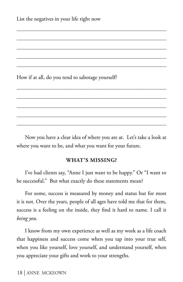How if at all, do you tend to sabotage yourself?

Now you have a clear idea of where you are at. Let's take a look at where you want to be, and what you want for your future.

 $\mathcal{L}_\text{max}$  and  $\mathcal{L}_\text{max}$  and  $\mathcal{L}_\text{max}$  and  $\mathcal{L}_\text{max}$  and  $\mathcal{L}_\text{max}$ 

\_\_\_\_\_\_\_\_\_\_\_\_\_\_\_\_\_\_\_\_\_\_\_\_\_\_\_\_\_\_\_\_\_\_\_\_\_\_\_\_\_\_\_\_\_\_\_\_\_\_\_\_\_\_

 $\mathcal{L}_\text{max}$  and  $\mathcal{L}_\text{max}$  and  $\mathcal{L}_\text{max}$  and  $\mathcal{L}_\text{max}$  and  $\mathcal{L}_\text{max}$  $\mathcal{L}_\text{max}$  and  $\mathcal{L}_\text{max}$  and  $\mathcal{L}_\text{max}$  and  $\mathcal{L}_\text{max}$  and  $\mathcal{L}_\text{max}$ 

 $\mathcal{L}_\text{max}$  and  $\mathcal{L}_\text{max}$  and  $\mathcal{L}_\text{max}$  and  $\mathcal{L}_\text{max}$  and  $\mathcal{L}_\text{max}$ 

\_\_\_\_\_\_\_\_\_\_\_\_\_\_\_\_\_\_\_\_\_\_\_\_\_\_\_\_\_\_\_\_\_\_\_\_\_\_\_\_\_\_\_\_\_\_\_\_\_\_\_\_\_\_

 $\mathcal{L}_\text{max}$  and  $\mathcal{L}_\text{max}$  and  $\mathcal{L}_\text{max}$  and  $\mathcal{L}_\text{max}$  and  $\mathcal{L}_\text{max}$  $\mathcal{L}_\text{max}$  and  $\mathcal{L}_\text{max}$  and  $\mathcal{L}_\text{max}$  and  $\mathcal{L}_\text{max}$  and  $\mathcal{L}_\text{max}$ 

#### **WHAT'S MISSING?**

I've had clients say, "Anne I just want to be happy." Or "I want to be successful." But what exactly do these statements mean?

For some, success is measured by money and status but for most it is not. Over the years, people of all ages have told me that for them, success is a feeling on the inside, they find it hard to name. I call it *being you*.

I know from my own experience as well as my work as a life coach that happiness and success come when you tap into your true self, when you like yourself, love yourself, and understand yourself, when you appreciate your gifts and work to your strengths.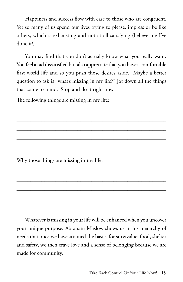Happiness and success flow with ease to those who are congruent. Yet so many of us spend our lives trying to please, impress or be like others, which is exhausting and not at all satisfying (believe me I've done it!)

You may find that you don't actually know what you really want. You feel a tad dissatisfied but also appreciate that you have a comfortable first world life and so you push those desires aside. Maybe a better question to ask is "what's missing in my life?" Jot down all the things that come to mind. Stop and do it right now.

\_\_\_\_\_\_\_\_\_\_\_\_\_\_\_\_\_\_\_\_\_\_\_\_\_\_\_\_\_\_\_\_\_\_\_\_\_\_\_\_\_\_\_\_\_\_\_\_\_\_\_\_\_\_

\_\_\_\_\_\_\_\_\_\_\_\_\_\_\_\_\_\_\_\_\_\_\_\_\_\_\_\_\_\_\_\_\_\_\_\_\_\_\_\_\_\_\_\_\_\_\_\_\_\_\_\_\_\_

\_\_\_\_\_\_\_\_\_\_\_\_\_\_\_\_\_\_\_\_\_\_\_\_\_\_\_\_\_\_\_\_\_\_\_\_\_\_\_\_\_\_\_\_\_\_\_\_\_\_\_\_\_\_ \_\_\_\_\_\_\_\_\_\_\_\_\_\_\_\_\_\_\_\_\_\_\_\_\_\_\_\_\_\_\_\_\_\_\_\_\_\_\_\_\_\_\_\_\_\_\_\_\_\_\_\_\_\_

 $\mathcal{L}_\text{max}$  and  $\mathcal{L}_\text{max}$  and  $\mathcal{L}_\text{max}$  and  $\mathcal{L}_\text{max}$  and  $\mathcal{L}_\text{max}$ 

\_\_\_\_\_\_\_\_\_\_\_\_\_\_\_\_\_\_\_\_\_\_\_\_\_\_\_\_\_\_\_\_\_\_\_\_\_\_\_\_\_\_\_\_\_\_\_\_\_\_\_\_\_\_

 $\mathcal{L}_\text{max}$  and  $\mathcal{L}_\text{max}$  and  $\mathcal{L}_\text{max}$  and  $\mathcal{L}_\text{max}$  and  $\mathcal{L}_\text{max}$  $\mathcal{L}_\text{max}$  and  $\mathcal{L}_\text{max}$  and  $\mathcal{L}_\text{max}$  and  $\mathcal{L}_\text{max}$  and  $\mathcal{L}_\text{max}$ 

The following things are missing in my life:

Why those things are missing in my life:

Whatever is missing in your life will be enhanced when you uncover your unique purpose. Abraham Maslow shows us in his hierarchy of needs that once we have attained the basics for survival ie: food, shelter and safety, we then crave love and a sense of belonging because we are made for community.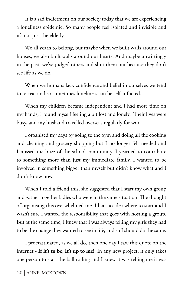It is a sad indictment on our society today that we are experiencing a loneliness epidemic. So many people feel isolated and invisible and it's not just the elderly.

We all yearn to belong, but maybe when we built walls around our houses, we also built walls around our hearts. And maybe unwittingly in the past, we've judged others and shut them out because they don't see life as we do.

When we humans lack confidence and belief in ourselves we tend to retreat and so sometimes loneliness can be self-inflicted.

When my children became independent and I had more time on my hands, I found myself feeling a bit lost and lonely. Their lives were busy, and my husband travelled overseas regularly for work.

I organised my days by going to the gym and doing all the cooking and cleaning and grocery shopping but I no longer felt needed and I missed the buzz of the school community. I yearned to contribute to something more than just my immediate family. I wanted to be involved in something bigger than myself but didn't know what and I didn't know how.

When I told a friend this, she suggested that I start my own group and gather together ladies who were in the same situation. The thought of organising this overwhelmed me. I had no idea where to start and I wasn't sure I wanted the responsibility that goes with hosting a group. But at the same time, I knew that I was always telling my girls they had to be the change they wanted to see in life, and so I should do the same.

I procrastinated, as we all do, then one day I saw this quote on the internet - **If it's to be, It's up to me!** In any new project, it only takes one person to start the ball rolling and I knew it was telling me it was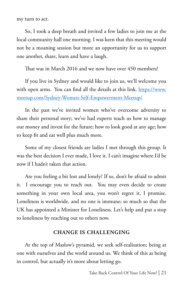my turn to act.

So, I took a deep breath and invited a few ladies to join me at the local community hall one morning. I was keen that this meeting would not be a moaning session but more an opportunity for us to support one another, share, learn and have a laugh.

That was in March 2016 and we now have over 450 members!

If you live in Sydney and would like to join us, we'll welcome you with open arms. You can find all the details at this link. https://www. meetup.com/Sydney-Women-Self-Empowerment-Meetup/

In the past we've invited women who've overcome adversity to share their personal story; we've had experts teach us how to manage our money and invest for the future; how to look good at any age; how to keep fit and eat well plus much more.

Some of my closest friends are ladies I met through this group. It was the best decision I ever made, I love it. I can't imagine where I'd be now if I hadn't taken that action.

Are you feeling a bit lost and lonely? If so, don't be afraid to admit it. I encourage you to reach out. You may even decide to create something in your own local area, you won't regret it, I promise. Loneliness is worldwide, and no one is immune; so much so that the UK has appointed a Minister for Loneliness. Let's help and put a stop to loneliness by reaching out to others now.

#### **CHANGE IS CHALLENGING**

At the top of Maslow's pyramid, we seek self-realisation; being at one with ourselves and the world around us. We think of this as being in control, but actually it's more about letting go.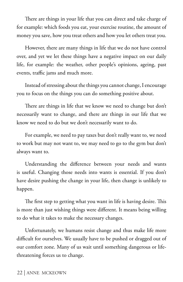There are things in your life that you can direct and take charge of for example: which foods you eat, your exercise routine, the amount of money you save, how you treat others and how you let others treat you.

However, there are many things in life that we do not have control over, and yet we let these things have a negative impact on our daily life, for example: the weather, other people's opinions, ageing, past events, traffic jams and much more.

Instead of stressing about the things you cannot change, I encourage you to focus on the things you can do something positive about.

There are things in life that we know we need to change but don't necessarily want to change, and there are things in our life that we know we need to do but we don't necessarily want to do.

For example, we need to pay taxes but don't really want to, we need to work but may not want to, we may need to go to the gym but don't always want to.

Understanding the difference between your needs and wants is useful. Changing those needs into wants is essential. If you don't have desire pushing the change in your life, then change is unlikely to happen.

The first step to getting what you want in life is having desire. This is more than just wishing things were different. It means being willing to do what it takes to make the necessary changes.

Unfortunately, we humans resist change and thus make life more difficult for ourselves. We usually have to be pushed or dragged out of our comfort zone. Many of us wait until something dangerous or lifethreatening forces us to change.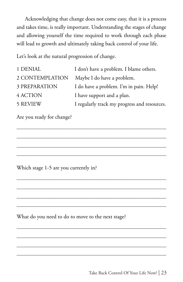Acknowledging that change does not come easy, that it is a process and takes time, is really important. Understanding the stages of change and allowing yourself the time required to work through each phase will lead to growth and ultimately taking back control of your life.

Let's look at the natural progression of change.

| 1 DENIAL        | I don't have a problem. I blame others.      |
|-----------------|----------------------------------------------|
| 2 CONTEMPLATION | Maybe I do have a problem.                   |
| 3 PREPARATION   | I do have a problem. I'm in pain. Help!      |
| 4 ACTION        | I have support and a plan.                   |
| <b>5 REVIEW</b> | I regularly track my progress and resources. |

\_\_\_\_\_\_\_\_\_\_\_\_\_\_\_\_\_\_\_\_\_\_\_\_\_\_\_\_\_\_\_\_\_\_\_\_\_\_\_\_\_\_\_\_\_\_\_\_\_\_\_\_\_\_

\_\_\_\_\_\_\_\_\_\_\_\_\_\_\_\_\_\_\_\_\_\_\_\_\_\_\_\_\_\_\_\_\_\_\_\_\_\_\_\_\_\_\_\_\_\_\_\_\_\_\_\_\_\_ \_\_\_\_\_\_\_\_\_\_\_\_\_\_\_\_\_\_\_\_\_\_\_\_\_\_\_\_\_\_\_\_\_\_\_\_\_\_\_\_\_\_\_\_\_\_\_\_\_\_\_\_\_\_

 $\mathcal{L}_\text{max}$  and  $\mathcal{L}_\text{max}$  and  $\mathcal{L}_\text{max}$  and  $\mathcal{L}_\text{max}$  and  $\mathcal{L}_\text{max}$ 

\_\_\_\_\_\_\_\_\_\_\_\_\_\_\_\_\_\_\_\_\_\_\_\_\_\_\_\_\_\_\_\_\_\_\_\_\_\_\_\_\_\_\_\_\_\_\_\_\_\_\_\_\_\_

\_\_\_\_\_\_\_\_\_\_\_\_\_\_\_\_\_\_\_\_\_\_\_\_\_\_\_\_\_\_\_\_\_\_\_\_\_\_\_\_\_\_\_\_\_\_\_\_\_\_\_\_\_\_

\_\_\_\_\_\_\_\_\_\_\_\_\_\_\_\_\_\_\_\_\_\_\_\_\_\_\_\_\_\_\_\_\_\_\_\_\_\_\_\_\_\_\_\_\_\_\_\_\_\_\_\_\_\_ \_\_\_\_\_\_\_\_\_\_\_\_\_\_\_\_\_\_\_\_\_\_\_\_\_\_\_\_\_\_\_\_\_\_\_\_\_\_\_\_\_\_\_\_\_\_\_\_\_\_\_\_\_\_

Are you ready for change?

Which stage 1-5 are you currently in?

What do you need to do to move to the next stage?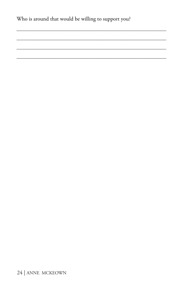Who is around that would be willing to support you?

24 | ANNE MCKEOWN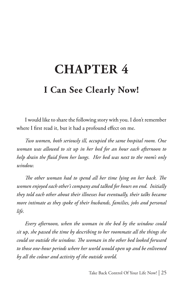# **CHAPTER 4 I Can See Clearly Now!**

I would like to share the following story with you. I don't remember where I first read it, but it had a profound effect on me.

*Two women, both seriously ill, occupied the same hospital room. One woman was allowed to sit up in her bed for an hour each afternoon to help drain the fluid from her lungs. Her bed was next to the room's only window.* 

*The other woman had to spend all her time lying on her back. The women enjoyed each other's company and talked for hours on end. Initially they told each other about their illnesses but eventually, their talks became more intimate as they spoke of their husbands, families, jobs and personal life.* 

*Every afternoon, when the woman in the bed by the window could sit up, she passed the time by describing to her roommate all the things she could see outside the window. The woman in the other bed looked forward to those one-hour periods where her world would open up and be enlivened by all the colour and activity of the outside world.*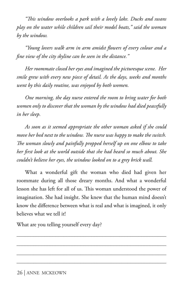*"This window overlooks a park with a lovely lake. Ducks and swans play on the water while children sail their model boats," said the woman by the window.* 

*"Young lovers walk arm in arm amidst flowers of every colour and a fine view of the city skyline can be seen in the distance."* 

*Her roommate closed her eyes and imagined the picturesque scene. Her smile grew with every new piece of detail. As the days, weeks and months went by this daily routine, was enjoyed by both women.*

*One morning, the day nurse entered the room to bring water for both women only to discover that the woman by the window had died peacefully in her sleep.*

*As soon as it seemed appropriate the other woman asked if she could move her bed next to the window. The nurse was happy to make the switch. The woman slowly and painfully propped herself up on one elbow to take her first look at the world outside that she had heard so much about. She couldn't believe her eyes, the window looked on to a grey brick wall.*

What a wonderful gift the woman who died had given her roommate during all those dreary months. And what a wonderful lesson she has left for all of us. This woman understood the power of imagination. She had insight. She knew that the human mind doesn't know the difference between what is real and what is imagined, it only believes what we tell it!

\_\_\_\_\_\_\_\_\_\_\_\_\_\_\_\_\_\_\_\_\_\_\_\_\_\_\_\_\_\_\_\_\_\_\_\_\_\_\_\_\_\_\_\_\_\_\_\_\_\_\_\_\_\_

\_\_\_\_\_\_\_\_\_\_\_\_\_\_\_\_\_\_\_\_\_\_\_\_\_\_\_\_\_\_\_\_\_\_\_\_\_\_\_\_\_\_\_\_\_\_\_\_\_\_\_\_\_\_

What are you telling yourself every day?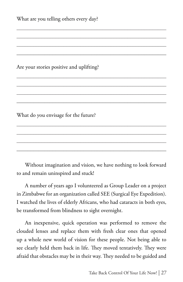What are you telling others every day?

Are your stories positive and uplifting?

What do you envisage for the future?

Without imagination and vision, we have nothing to look forward to and remain uninspired and stuck!

\_\_\_\_\_\_\_\_\_\_\_\_\_\_\_\_\_\_\_\_\_\_\_\_\_\_\_\_\_\_\_\_\_\_\_\_\_\_\_\_\_\_\_\_\_\_\_\_\_\_\_\_\_\_ \_\_\_\_\_\_\_\_\_\_\_\_\_\_\_\_\_\_\_\_\_\_\_\_\_\_\_\_\_\_\_\_\_\_\_\_\_\_\_\_\_\_\_\_\_\_\_\_\_\_\_\_\_\_ \_\_\_\_\_\_\_\_\_\_\_\_\_\_\_\_\_\_\_\_\_\_\_\_\_\_\_\_\_\_\_\_\_\_\_\_\_\_\_\_\_\_\_\_\_\_\_\_\_\_\_\_\_\_ \_\_\_\_\_\_\_\_\_\_\_\_\_\_\_\_\_\_\_\_\_\_\_\_\_\_\_\_\_\_\_\_\_\_\_\_\_\_\_\_\_\_\_\_\_\_\_\_\_\_\_\_\_\_

A number of years ago I volunteered as Group Leader on a project in Zimbabwe for an organization called SEE (Surgical Eye Expedition). I watched the lives of elderly Africans, who had cataracts in both eyes, be transformed from blindness to sight overnight.

An inexpensive, quick operation was performed to remove the clouded lenses and replace them with fresh clear ones that opened up a whole new world of vision for these people. Not being able to see clearly held them back in life. They moved tentatively. They were afraid that obstacles may be in their way. They needed to be guided and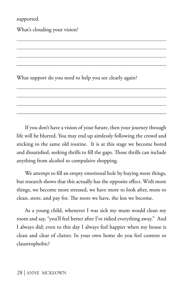supported.

What's clouding your vision?

What support do you need to help you see clearly again?

If you don't have a vision of your future, then your journey through life will be blurred. You may end up aimlessly following the crowd and sticking to the same old routine. It is at this stage we become bored and dissatisfied, seeking thrills to fill the gaps. Those thrills can include anything from alcohol to compulsive shopping.

\_\_\_\_\_\_\_\_\_\_\_\_\_\_\_\_\_\_\_\_\_\_\_\_\_\_\_\_\_\_\_\_\_\_\_\_\_\_\_\_\_\_\_\_\_\_\_\_\_\_\_\_\_\_ \_\_\_\_\_\_\_\_\_\_\_\_\_\_\_\_\_\_\_\_\_\_\_\_\_\_\_\_\_\_\_\_\_\_\_\_\_\_\_\_\_\_\_\_\_\_\_\_\_\_\_\_\_\_ \_\_\_\_\_\_\_\_\_\_\_\_\_\_\_\_\_\_\_\_\_\_\_\_\_\_\_\_\_\_\_\_\_\_\_\_\_\_\_\_\_\_\_\_\_\_\_\_\_\_\_\_\_\_ \_\_\_\_\_\_\_\_\_\_\_\_\_\_\_\_\_\_\_\_\_\_\_\_\_\_\_\_\_\_\_\_\_\_\_\_\_\_\_\_\_\_\_\_\_\_\_\_\_\_\_\_\_\_

We attempt to fill an empty emotional hole by buying more things, but research shows that this actually has the opposite effect. With more things, we become more stressed, we have more to look after, more to clean, store, and pay for. The more we have, the less we become.

As a young child, whenever I was sick my mum would clean my room and say, "you'll feel better after I've tidied everything away." And I always did; even to this day I always feel happier when my house is clean and clear of clutter. In your own home do you feel content or claustrophobic?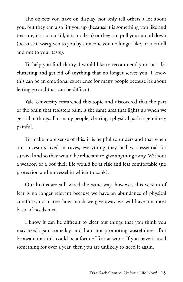The objects you have on display, not only tell others a lot about you, but they can also lift you up (because it is something you like and treasure, it is colourful, it is modern) or they can pull your mood down (because it was given to you by someone you no longer like, or it is dull and not to your taste).

To help you find clarity, I would like to recommend you start decluttering and get rid of anything that no longer serves you. I know this can be an emotional experience for many people because it's about letting go and that can be difficult.

Yale University researched this topic and discovered that the part of the brain that registers pain, is the same area that lights up when we get rid of things. For many people, clearing a physical path is genuinely painful.

To make more sense of this, it is helpful to understand that when our ancestors lived in caves, everything they had was essential for survival and so they would be reluctant to give anything away. Without a weapon or a pot their life would be at risk and less comfortable (no protection and no vessel in which to cook).

Our brains are still wired the same way, however, this version of fear is no longer relevant because we have an abundance of physical comforts, no matter how much we give away we will have our most basic of needs met.

I know it can be difficult to clear out things that you think you may need again someday, and I am not promoting wastefulness. But be aware that this could be a form of fear at work. If you haven't used something for over a year, then you are unlikely to need it again.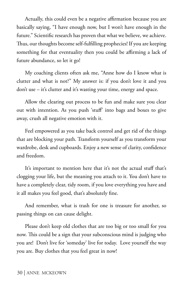Actually, this could even be a negative affirmation because you are basically saying, "I have enough now, but I won't have enough in the future." Scientific research has proven that what we believe, we achieve. Thus, our thoughts become self-fulfilling prophecies! If you are keeping something for that eventuality then you could be affirming a lack of future abundance, so let it go!

My coaching clients often ask me, "Anne how do I know what is clutter and what is not?" My answer is: if you don't love it and you don't use – it's clutter and it's wasting your time, energy and space.

Allow the clearing out process to be fun and make sure you clear out with intention. As you push 'stuff' into bags and boxes to give away, crush all negative emotion with it.

Feel empowered as you take back control and get rid of the things that are blocking your path. Transform yourself as you transform your wardrobe, desk and cupboards. Enjoy a new sense of clarity, confidence and freedom.

It's important to mention here that it's not the actual stuff that's clogging your life, but the meaning you attach to it. You don't have to have a completely clear, tidy room, if you love everything you have and it all makes you feel good, that's absolutely fine.

And remember, what is trash for one is treasure for another, so passing things on can cause delight.

Please don't keep old clothes that are too big or too small for you now. This could be a sign that your subconscious mind is judging who you are! Don't live for 'someday' live for today. Love yourself the way you are. Buy clothes that you feel great in now!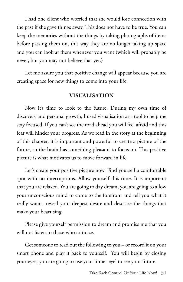I had one client who worried that she would lose connection with the past if she gave things away. This does not have to be true. You can keep the memories without the things by taking photographs of items before passing them on, this way they are no longer taking up space and you can look at them whenever you want (which will probably be never, but you may not believe that yet.)

Let me assure you that positive change will appear because you are creating space for new things to come into your life.

### **VISUALISATION**

Now it's time to look to the future. During my own time of discovery and personal growth, I used visualisation as a tool to help me stay focused. If you can't see the road ahead you will feel afraid and this fear will hinder your progress. As we read in the story at the beginning of this chapter, it is important and powerful to create a picture of the future, so the brain has something pleasant to focus on. This positive picture is what motivates us to move forward in life.

Let's create your positive picture now. Find yourself a comfortable spot with no interruptions. Allow yourself this time. It is important that you are relaxed. You are going to day dream, you are going to allow your unconscious mind to come to the forefront and tell you what it really wants, reveal your deepest desire and describe the things that make your heart sing.

Please give yourself permission to dream and promise me that you will not listen to those who criticize.

Get someone to read out the following to you – or record it on your smart phone and play it back to yourself. You will begin by closing your eyes; you are going to use your 'inner eye' to see your future.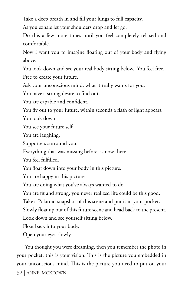Take a deep breath in and fill your lungs to full capacity.

As you exhale let your shoulders drop and let go.

Do this a few more times until you feel completely relaxed and comfortable.

Now I want you to imagine floating out of your body and flying above.

You look down and see your real body sitting below. You feel free. Free to create your future.

Ask your unconscious mind, what it really wants for you.

You have a strong desire to find out.

You are capable and confident.

You fly out to your future, within seconds a flash of light appears. You look down.

You see your future self.

You are laughing.

Supporters surround you.

Everything that was missing before, is now there.

You feel fulfilled.

You float down into your body in this picture.

You are happy in this picture.

You are doing what you've always wanted to do.

You are fit and strong, you never realized life could be this good.

Take a Polaroid snapshot of this scene and put it in your pocket.

Slowly float up out of this future scene and head back to the present.

Look down and see yourself sitting below.

Float back into your body.

Open your eyes slowly.

32 | ANNE MCKEOWN You thought you were dreaming, then you remember the photo in your pocket, this is your vision. This is the picture you embedded in your unconscious mind. This is the picture you need to put on your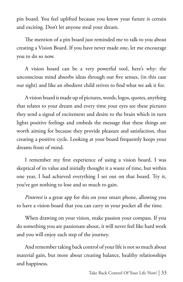pin board. You feel uplifted because you know your future is certain and exciting. Don't let anyone steal your dream.

The mention of a pin board just reminded me to talk to you about creating a Vision Board. If you have never made one, let me encourage you to do so now.

A vision board can be a very powerful tool, here's why: the unconscious mind absorbs ideas through our five senses, (in this case our sight) and like an obedient child strives to find what we ask it for.

A vision board is made up of pictures, words, logos, quotes, anything that relates to your dream and every time your eyes see these pictures they send a signal of excitement and desire to the brain which in turn lights positive feelings and embeds the message that these things are worth aiming for because they provide pleasure and satisfaction, thus creating a positive cycle. Looking at your board frequently keeps your dreams front of mind.

I remember my first experience of using a vision board. I was skeptical of its value and initially thought it a waste of time, but within one year, I had achieved everything I set out on that board. Try it, you've got nothing to lose and so much to gain.

*Pinterest* is a great app for this on your smart phone, allowing you to have a vision board that you can carry in your pocket all the time.

When drawing on your vision, make passion your compass. If you do something you are passionate about, it will never feel like hard work and you will enjoy each step of the journey.

And remember taking back control of your life is not so much about material gain, but more about creating balance, healthy relationships and happiness.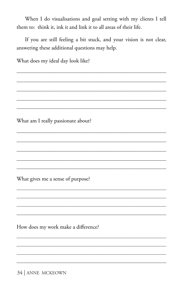When I do visualisations and goal setting with my clients I tell them to: think it, ink it and link it to all areas of their life.

If you are still feeling a bit stuck, and your vision is not clear, answering these additional questions may help.

What does my ideal day look like? What am I really passionate about? What gives me a sense of purpose?

How does my work make a difference?

34 | ANNE MCKEOWN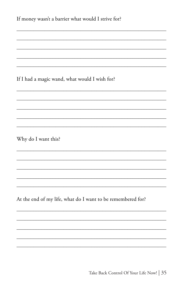| If money wasn't a barrier what would I strive for?          |
|-------------------------------------------------------------|
|                                                             |
|                                                             |
| If I had a magic wand, what would I wish for?               |
|                                                             |
|                                                             |
|                                                             |
| Why do I want this?                                         |
|                                                             |
|                                                             |
|                                                             |
| At the end of my life, what do I want to be remembered for? |
|                                                             |
|                                                             |
|                                                             |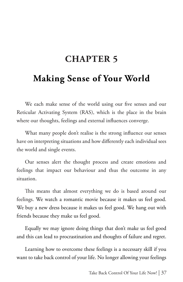# **CHAPTER 5**

# **Making Sense of Your World**

We each make sense of the world using our five senses and our Reticular Activating System (RAS), which is the place in the brain where our thoughts, feelings and external influences converge.

What many people don't realise is the strong influence our senses have on interpreting situations and how differently each individual sees the world and single events.

Our senses alert the thought process and create emotions and feelings that impact our behaviour and thus the outcome in any situation.

This means that almost everything we do is based around our feelings. We watch a romantic movie because it makes us feel good. We buy a new dress because it makes us feel good. We hang out with friends because they make us feel good.

Equally we may ignore doing things that don't make us feel good and this can lead to procrastination and thoughts of failure and regret.

Learning how to overcome these feelings is a necessary skill if you want to take back control of your life. No longer allowing your feelings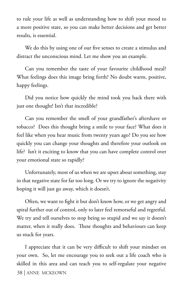to rule your life as well as understanding how to shift your mood to a more positive state, so you can make better decisions and get better results, is essential.

We do this by using one of our five senses to create a stimulus and distract the unconscious mind. Let me show you an example.

Can you remember the taste of your favourite childhood meal? What feelings does this image bring forth? No doubt warm, positive, happy feelings.

Did you notice how quickly the mind took you back there with just one thought! Isn't that incredible?

Can you remember the smell of your grandfather's aftershave or tobacco? Does this thought bring a smile to your face? What does it feel like when you hear music from twenty years ago? Do you see how quickly you can change your thoughts and therefore your outlook on life? Isn't it exciting to know that you can have complete control over your emotional state so rapidly?

Unfortunately, most of us when we are upset about something, stay in that negative state for far too long. Or we try to ignore the negativity hoping it will just go away, which it doesn't.

Often, we want to fight it but don't know how, or we get angry and spiral further out of control, only to later feel remorseful and regretful. We try and tell ourselves to stop being so stupid and we say it doesn't matter, when it really does. These thoughts and behaviours can keep us stuck for years.

38 | ANNE MCKEOWN I appreciate that it can be very difficult to shift your mindset on your own. So, let me encourage you to seek out a life coach who is skilled in this area and can teach you to self-regulate your negative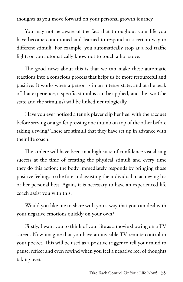thoughts as you move forward on your personal growth journey.

You may not be aware of the fact that throughout your life you have become conditioned and learned to respond in a certain way to different stimuli. For example: you automatically stop at a red traffic light, or you automatically know not to touch a hot stove.

The good news about this is that we can make these automatic reactions into a conscious process that helps us be more resourceful and positive. It works when a person is in an intense state, and at the peak of that experience, a specific stimulus can be applied, and the two (the state and the stimulus) will be linked neurologically.

Have you ever noticed a tennis player clip her heel with the racquet before serving or a golfer pressing one thumb on top of the other before taking a swing? These are stimuli that they have set up in advance with their life coach.

The athlete will have been in a high state of confidence visualising success at the time of creating the physical stimuli and every time they do this action; the body immediately responds by bringing those positive feelings to the fore and assisting the individual in achieving his or her personal best. Again, it is necessary to have an experienced life coach assist you with this.

Would you like me to share with you a way that you can deal with your negative emotions quickly on your own?

Firstly, I want you to think of your life as a movie showing on a TV screen. Now imagine that you have an invisible TV remote control in your pocket. This will be used as a positive trigger to tell your mind to pause, reflect and even rewind when you feel a negative reel of thoughts taking over.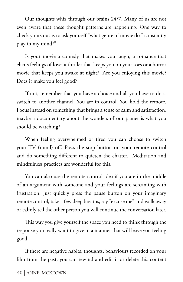Our thoughts whiz through our brains 24/7. Many of us are not even aware that these thought patterns are happening. One way to check yours out is to ask yourself "what genre of movie do I constantly play in my mind?"

Is your movie a comedy that makes you laugh, a romance that elicits feelings of love, a thriller that keeps you on your toes or a horror movie that keeps you awake at night? Are you enjoying this movie? Does it make you feel good?

If not, remember that you have a choice and all you have to do is switch to another channel. You are in control. You hold the remote. Focus instead on something that brings a sense of calm and satisfaction, maybe a documentary about the wonders of our planet is what you should be watching?

When feeling overwhelmed or tired you can choose to switch your TV (mind) off. Press the stop button on your remote control and do something different to quieten the chatter. Meditation and mindfulness practices are wonderful for this.

You can also use the remote-control idea if you are in the middle of an argument with someone and your feelings are screaming with frustration. Just quickly press the pause button on your imaginary remote control, take a few deep breaths, say "excuse me" and walk away or calmly tell the other person you will continue the conversation later.

This way you give yourself the space you need to think through the response you really want to give in a manner that will leave you feeling good.

If there are negative habits, thoughts, behaviours recorded on your film from the past, you can rewind and edit it or delete this content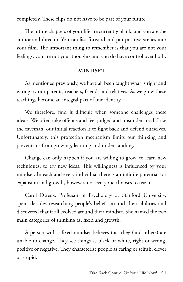completely. These clips do not have to be part of your future.

The future chapters of your life are currently blank, and you are the author and director. You can fast forward and put positive scenes into your film. The important thing to remember is that you are not your feelings, you are not your thoughts and you do have control over both.

#### **MINDSET**

As mentioned previously, we have all been taught what is right and wrong by our parents, teachers, friends and relatives. As we grow these teachings become an integral part of our identity.

We therefore, find it difficult when someone challenges these ideals. We often take offence and feel judged and misunderstood. Like the caveman, our initial reaction is to fight back and defend ourselves. Unfortunately, this protection mechanism limits our thinking and prevents us from growing, learning and understanding.

Change can only happen if you are willing to grow, to learn new techniques, to try new ideas. This willingness is influenced by your mindset. In each and every individual there is an infinite potential for expansion and growth, however, not everyone chooses to use it.

Carol Dweck, Professor of Psychology at Stanford University, spent decades researching people's beliefs around their abilities and discovered that it all evolved around their mindset. She named the two main categories of thinking as, fixed and growth.

A person with a fixed mindset believes that they (and others) are unable to change. They see things as black or white, right or wrong, positive or negative. They characterise people as caring or selfish, clever or stupid.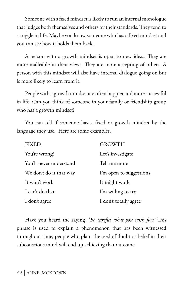Someone with a fixed mindset is likely to run an internal monologue that judges both themselves and others by their standards. They tend to struggle in life. Maybe you know someone who has a fixed mindset and you can see how it holds them back.

A person with a growth mindset is open to new ideas. They are more malleable in their views. They are more accepting of others. A person with this mindset will also have internal dialogue going on but is more likely to learn from it.

People with a growth mindset are often happier and more successful in life. Can you think of someone in your family or friendship group who has a growth mindset?

You can tell if someone has a fixed or growth mindset by the language they use. Here are some examples.

|                         | <b>GROWTH</b>           |
|-------------------------|-------------------------|
| You're wrong!           | Let's investigate       |
| You'll never understand | Tell me more            |
| We don't do it that way | I'm open to suggestions |
| It won't work           | It might work           |
| I can't do that         | I'm willing to try      |
| I don't agree           | I don't totally agree   |

Have you heard the saying, '*Be careful what you wish for?'* This phrase is used to explain a phenomenon that has been witnessed throughout time; people who plant the seed of doubt or belief in their subconscious mind will end up achieving that outcome.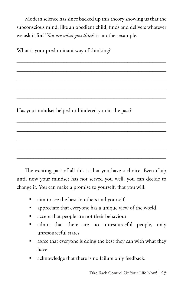Modern science has since backed up this theory showing us that the subconscious mind, like an obedient child, finds and delivers whatever we ask it for! '*You are what you think'* is another example.

\_\_\_\_\_\_\_\_\_\_\_\_\_\_\_\_\_\_\_\_\_\_\_\_\_\_\_\_\_\_\_\_\_\_\_\_\_\_\_\_\_\_\_\_\_\_\_\_\_\_\_\_\_\_

\_\_\_\_\_\_\_\_\_\_\_\_\_\_\_\_\_\_\_\_\_\_\_\_\_\_\_\_\_\_\_\_\_\_\_\_\_\_\_\_\_\_\_\_\_\_\_\_\_\_\_\_\_\_

\_\_\_\_\_\_\_\_\_\_\_\_\_\_\_\_\_\_\_\_\_\_\_\_\_\_\_\_\_\_\_\_\_\_\_\_\_\_\_\_\_\_\_\_\_\_\_\_\_\_\_\_\_\_ \_\_\_\_\_\_\_\_\_\_\_\_\_\_\_\_\_\_\_\_\_\_\_\_\_\_\_\_\_\_\_\_\_\_\_\_\_\_\_\_\_\_\_\_\_\_\_\_\_\_\_\_\_\_

 $\mathcal{L}_\text{max}$  and  $\mathcal{L}_\text{max}$  and  $\mathcal{L}_\text{max}$  and  $\mathcal{L}_\text{max}$  and  $\mathcal{L}_\text{max}$ 

\_\_\_\_\_\_\_\_\_\_\_\_\_\_\_\_\_\_\_\_\_\_\_\_\_\_\_\_\_\_\_\_\_\_\_\_\_\_\_\_\_\_\_\_\_\_\_\_\_\_\_\_\_\_

 $\mathcal{L}_\text{max}$  and  $\mathcal{L}_\text{max}$  and  $\mathcal{L}_\text{max}$  and  $\mathcal{L}_\text{max}$  and  $\mathcal{L}_\text{max}$  $\mathcal{L}_\text{max}$  and  $\mathcal{L}_\text{max}$  and  $\mathcal{L}_\text{max}$  and  $\mathcal{L}_\text{max}$  and  $\mathcal{L}_\text{max}$ 

What is your predominant way of thinking?

Has your mindset helped or hindered you in the past?

The exciting part of all this is that you have a choice. Even if up until now your mindset has not served you well, you can decide to change it. You can make a promise to yourself, that you will:

- aim to see the best in others and yourself
- appreciate that everyone has a unique view of the world
- accept that people are not their behaviour
- admit that there are no unresourceful people, only unresourceful states
- agree that everyone is doing the best they can with what they have
- acknowledge that there is no failure only feedback.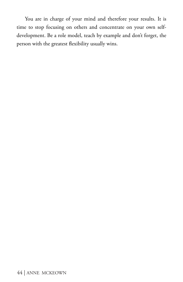You are in charge of your mind and therefore your results. It is time to stop focusing on others and concentrate on your own selfdevelopment. Be a role model, teach by example and don't forget, the person with the greatest flexibility usually wins.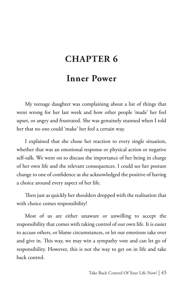# **CHAPTER 6**

# **Inner Power**

My teenage daughter was complaining about a list of things that went wrong for her last week and how other people 'made' her feel upset, or angry and frustrated. She was genuinely stunned when I told her that no one could 'make' her feel a certain way.

I explained that she chose her reaction to every single situation, whether that was an emotional response or physical action or negative self-talk. We went on to discuss the importance of her being in charge of her own life and the relevant consequences. I could see her posture change to one of confidence as she acknowledged the positive of having a choice around every aspect of her life.

Then just as quickly her shoulders dropped with the realisation that with choice comes responsibility!

Most of us are either unaware or unwilling to accept the responsibility that comes with taking control of our own life. It is easier to accuse others, or blame circumstances, or let our emotions take over and give in. This way, we may win a sympathy vote and can let go of responsibility. However, this is not the way to get on in life and take back control.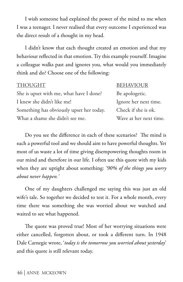I wish someone had explained the power of the mind to me when I was a teenager. I never realised that every outcome I experienced was the direct result of a thought in my head.

I didn't know that each thought created an emotion and that my behaviour reflected in that emotion. Try this example yourself. Imagine a colleague walks past and ignores you, what would you immediately think and do? Choose one of the following:

She is upset with me, what have I done? Be apologetic. I knew she didn't like me! Ignore her next time. Something has obviously upset her today. Check if she is ok. What a shame she didn't see me. Wave at her next time.

#### THOUGHT BEHAVIOUR

Do you see the difference in each of these scenarios? The mind is such a powerful tool and we should aim to have powerful thoughts. Yet most of us waste a lot of time giving disempowering thoughts room in our mind and therefore in our life. I often use this quote with my kids when they are uptight about something: *'90% of the things you worry about never happen.'* 

One of my daughters challenged me saying this was just an old wife's tale. So together we decided to test it. For a whole month, every time there was something she was worried about we watched and waited to see what happened.

The quote was proved true! Most of her worrying situations were either cancelled, forgotten about, or took a different turn. In 1948 Dale Carnegie wrote, '*today is the tomorrow you worried about yesterday*' and this quote is still relevant today.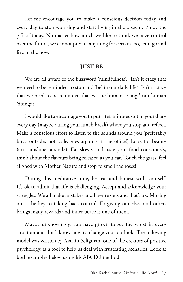Let me encourage you to make a conscious decision today and every day to stop worrying and start living in the present. Enjoy the gift of today. No matter how much we like to think we have control over the future, we cannot predict anything for certain. So, let it go and live in the now.

#### **JUST BE**

We are all aware of the buzzword 'mindfulness'. Isn't it crazy that we need to be reminded to stop and 'be' in our daily life? Isn't it crazy that we need to be reminded that we are human 'beings' not human 'doings'?

I would like to encourage you to put a ten minutes slot in your diary every day (maybe during your lunch break) where you stop and reflect. Make a conscious effort to listen to the sounds around you (preferably birds outside, not colleagues arguing in the office!) Look for beauty (art, sunshine, a smile). Eat slowly and taste your food consciously, think about the flavours being released as you eat. Touch the grass, feel aligned with Mother Nature and stop to smell the roses!

During this meditative time, be real and honest with yourself. It's ok to admit that life is challenging. Accept and acknowledge your struggles. We all make mistakes and have regrets and that's ok. Moving on is the key to taking back control. Forgiving ourselves and others brings many rewards and inner peace is one of them.

Maybe unknowingly, you have grown to see the worst in every situation and don't know how to change your outlook. The following model was written by Martin Seligman, one of the creators of positive psychology, as a tool to help us deal with frustrating scenarios. Look at both examples below using his ABCDE method.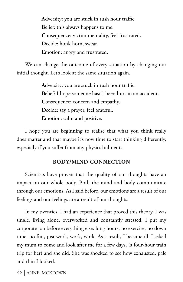**A**dversity: you are stuck in rush hour traffic. **B**elief: this always happens to me. **C**onsequence: victim mentality, feel frustrated. **D**ecide: honk horn, swear. **E**motion: angry and frustrated.

We can change the outcome of every situation by changing our initial thought. Let's look at the same situation again.

> **A**dversity: you are stuck in rush hour traffic. **B**elief: I hope someone hasn't been hurt in an accident. **C**onsequence: concern and empathy. **D**ecide: say a prayer, feel grateful. **E**motion: calm and positive.

I hope you are beginning to realise that what you think really does matter and that maybe it's now time to start thinking differently, especially if you suffer from any physical ailments.

#### **BODY/MIND CONNECTION**

Scientists have proven that the quality of our thoughts have an impact on our whole body. Both the mind and body communicate through our emotions. As I said before, our emotions are a result of our feelings and our feelings are a result of our thoughts.

In my twenties, I had an experience that proved this theory. I was single, living alone, overworked and constantly stressed. I put my corporate job before everything else: long hours, no exercise, no down time, no fun, just work, work, work. As a result, I became ill. I asked my mum to come and look after me for a few days, (a four-hour train trip for her) and she did. She was shocked to see how exhausted, pale and thin I looked.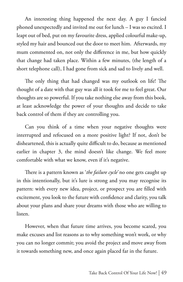An interesting thing happened the next day. A guy I fancied phoned unexpectedly and invited me out for lunch – I was so excited. I leapt out of bed, put on my favourite dress, applied colourful make-up, styled my hair and bounced out the door to meet him. Afterwards, my mum commented on, not only the difference in me, but how quickly that change had taken place. Within a few minutes, (the length of a short telephone call), I had gone from sick and sad to lively and well.

The only thing that had changed was my outlook on life! The thought of a date with that guy was all it took for me to feel great. Our thoughts are so powerful. If you take nothing else away from this book, at least acknowledge the power of your thoughts and decide to take back control of them if they are controlling you.

Can you think of a time when your negative thoughts were interrupted and refocused on a more positive light? If not, don't be disheartened, this is actually quite difficult to do, because as mentioned earlier in chapter 3, the mind doesn't like change. We feel more comfortable with what we know, even if it's negative.

There is a pattern known as '*the failure cycle'* no one gets caught up in this intentionally, but it's lure is strong and you may recognise its pattern: with every new idea, project, or prospect you are filled with excitement, you look to the future with confidence and clarity, you talk about your plans and share your dreams with those who are willing to listen.

However, when that future time arrives, you become scared, you make excuses and list reasons as to why something won't work, or why you can no longer commit; you avoid the project and move away from it towards something new, and once again placed far in the future.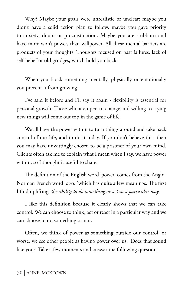Why? Maybe your goals were unrealistic or unclear; maybe you didn't have a solid action plan to follow, maybe you gave priority to anxiety, doubt or procrastination. Maybe you are stubborn and have more won't-power, than willpower. All these mental barriers are products of your thoughts. Thoughts focused on past failures, lack of self-belief or old grudges, which hold you back.

When you block something mentally, physically or emotionally you prevent it from growing.

I've said it before and I'll say it again - flexibility is essential for personal growth. Those who are open to change and willing to trying new things will come out top in the game of life.

We all have the power within to turn things around and take back control of our life, and to do it today. If you don't believe this, then you may have unwittingly chosen to be a prisoner of your own mind. Clients often ask me to explain what I mean when I say, we have power within, so I thought it useful to share.

The definition of the English word 'power' comes from the Anglo-Norman French word '*poeir'* which has quite a few meanings. The first I find uplifting: *the ability to do something or act in a particular way.*

I like this definition because it clearly shows that we can take control. We can choose to think, act or react in a particular way and we can choose to do something or not.

Often, we think of power as something outside our control, or worse, we see other people as having power over us. Does that sound like you? Take a few moments and answer the following questions.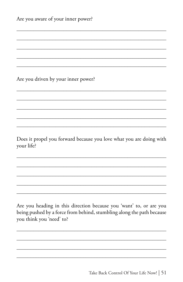| Are you aware of your inner power? |  |  |
|------------------------------------|--|--|
|                                    |  |  |
|                                    |  |  |

Are you driven by your inner power?

Does it propel you forward because you love what you are doing with your life?

Are you heading in this direction because you 'want' to, or are you being pushed by a force from behind, stumbling along the path because you think you 'need' to?

Take Back Control Of Your Life Now! | 51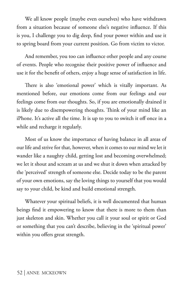We all know people (maybe even ourselves) who have withdrawn from a situation because of someone else's negative influence. If this is you, I challenge you to dig deep, find your power within and use it to spring board from your current position. Go from victim to victor.

And remember, you too can influence other people and any course of events. People who recognise their positive power of influence and use it for the benefit of others, enjoy a huge sense of satisfaction in life.

There is also 'emotional power' which is vitally important. As mentioned before, our emotions come from our feelings and our feelings come from our thoughts. So, if you are emotionally drained it is likely due to disempowering thoughts. Think of your mind like an iPhone. It's active all the time. It is up to you to switch it off once in a while and recharge it regularly.

Most of us know the importance of having balance in all areas of our life and strive for that, however, when it comes to our mind we let it wander like a naughty child, getting lost and becoming overwhelmed; we let it shout and scream at us and we shut it down when attacked by the 'perceived' strength of someone else. Decide today to be the parent of your own emotions, say the loving things to yourself that you would say to your child, be kind and build emotional strength.

Whatever your spiritual beliefs, it is well documented that human beings find it empowering to know that there is more to them than just skeleton and skin. Whether you call it your soul or spirit or God or something that you can't describe, believing in the 'spiritual power' within you offers great strength.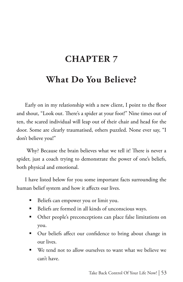# **CHAPTER 7**

# **What Do You Believe?**

Early on in my relationship with a new client, I point to the floor and shout, "Look out. There's a spider at your foot!" Nine times out of ten, the scared individual will leap out of their chair and head for the door. Some are clearly traumatised, others puzzled. None ever say, "I don't believe you!"

 Why? Because the brain believes what we tell it! There is never a spider, just a coach trying to demonstrate the power of one's beliefs, both physical and emotional.

I have listed below for you some important facts surrounding the human belief system and how it affects our lives.

- Beliefs can empower you or limit you.
- Beliefs are formed in all kinds of unconscious ways.
- **•** Other people's preconceptions can place false limitations on you.
- Our beliefs affect our confidence to bring about change in our lives.
- We tend not to allow ourselves to want what we believe we can't have.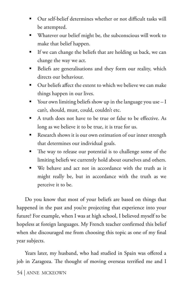- Our self-belief determines whether or not difficult tasks will be attempted.
- Whatever our belief might be, the subconscious will work to make that belief happen.
- If we can change the beliefs that are holding us back, we can change the way we act.
- Beliefs are generalisations and they form our reality, which directs our behaviour.
- Our beliefs affect the extent to which we believe we can make things happen in our lives.
- Your own limiting beliefs show up in the language you use  $-I$ can't, should, must, could, couldn't etc.
- A truth does not have to be true or false to be effective. As long as we believe it to be true, it is true for us.
- Research shows it is our own estimation of our inner strength that determines our individual goals.
- The way to release our potential is to challenge some of the limiting beliefs we currently hold about ourselves and others.
- We behave and act not in accordance with the truth as it might really be, but in accordance with the truth as we perceive it to be.

Do you know that most of your beliefs are based on things that happened in the past and you're projecting that experience into your future? For example, when I was at high school, I believed myself to be hopeless at foreign languages. My French teacher confirmed this belief when she discouraged me from choosing this topic as one of my final year subjects.

54 | ANNE MCKEOWN Years later, my husband, who had studied in Spain was offered a job in Zaragoza. The thought of moving overseas terrified me and I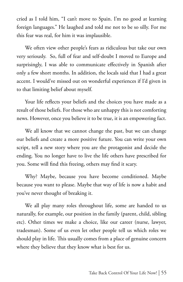cried as I told him, "I can't move to Spain. I'm no good at learning foreign languages." He laughed and told me not to be so silly. For me this fear was real, for him it was implausible.

We often view other people's fears as ridiculous but take our own very seriously. So, full of fear and self-doubt I moved to Europe and surprisingly, I was able to communicate effectively in Spanish after only a few short months. In addition, the locals said that I had a great accent. I would've missed out on wonderful experiences if I'd given in to that limiting belief about myself.

Your life reflects your beliefs and the choices you have made as a result of those beliefs. For those who are unhappy this is not comforting news. However, once you believe it to be true, it is an empowering fact.

We all know that we cannot change the past, but we can change our beliefs and create a more positive future. You can write your own script, tell a new story where you are the protagonist and decide the ending. You no longer have to live the life others have prescribed for you. Some will find this freeing, others may find it scary.

Why? Maybe, because you have become conditioned. Maybe because you want to please. Maybe that way of life is now a habit and you've never thought of breaking it.

We all play many roles throughout life, some are handed to us naturally, for example, our position in the family (parent, child, sibling etc). Other times we make a choice, like our career (nurse, lawyer, tradesman). Some of us even let other people tell us which roles we should play in life. This usually comes from a place of genuine concern where they believe that they know what is best for us.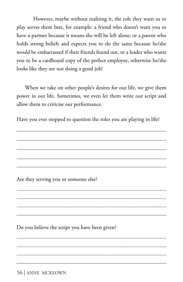However, maybe without realising it, the role they want us to play serves them best, for example: a friend who doesn't want you to have a partner because it means she will be left alone; or a parent who holds strong beliefs and expects you to do the same because he/she would be embarrassed if their friends found out, or a leader who wants you to be a cardboard copy of the perfect employee, otherwise he/she looks like they are not doing a good job!

When we take on other people's desires for our life, we give them power in our life. Sometimes, we even let them write our script and allow them to criticise our performance.

Have you ever stopped to question the roles you are playing in life?

 $\mathcal{L}_\text{max}$  and  $\mathcal{L}_\text{max}$  and  $\mathcal{L}_\text{max}$  and  $\mathcal{L}_\text{max}$  and  $\mathcal{L}_\text{max}$ 

\_\_\_\_\_\_\_\_\_\_\_\_\_\_\_\_\_\_\_\_\_\_\_\_\_\_\_\_\_\_\_\_\_\_\_\_\_\_\_\_\_\_\_\_\_\_\_\_\_\_\_\_\_\_

\_\_\_\_\_\_\_\_\_\_\_\_\_\_\_\_\_\_\_\_\_\_\_\_\_\_\_\_\_\_\_\_\_\_\_\_\_\_\_\_\_\_\_\_\_\_\_\_\_\_\_\_\_\_ \_\_\_\_\_\_\_\_\_\_\_\_\_\_\_\_\_\_\_\_\_\_\_\_\_\_\_\_\_\_\_\_\_\_\_\_\_\_\_\_\_\_\_\_\_\_\_\_\_\_\_\_\_\_ \_\_\_\_\_\_\_\_\_\_\_\_\_\_\_\_\_\_\_\_\_\_\_\_\_\_\_\_\_\_\_\_\_\_\_\_\_\_\_\_\_\_\_\_\_\_\_\_\_\_\_\_\_\_ \_\_\_\_\_\_\_\_\_\_\_\_\_\_\_\_\_\_\_\_\_\_\_\_\_\_\_\_\_\_\_\_\_\_\_\_\_\_\_\_\_\_\_\_\_\_\_\_\_\_\_\_\_\_

\_\_\_\_\_\_\_\_\_\_\_\_\_\_\_\_\_\_\_\_\_\_\_\_\_\_\_\_\_\_\_\_\_\_\_\_\_\_\_\_\_\_\_\_\_\_\_\_\_\_\_\_\_\_ \_\_\_\_\_\_\_\_\_\_\_\_\_\_\_\_\_\_\_\_\_\_\_\_\_\_\_\_\_\_\_\_\_\_\_\_\_\_\_\_\_\_\_\_\_\_\_\_\_\_\_\_\_\_ \_\_\_\_\_\_\_\_\_\_\_\_\_\_\_\_\_\_\_\_\_\_\_\_\_\_\_\_\_\_\_\_\_\_\_\_\_\_\_\_\_\_\_\_\_\_\_\_\_\_\_\_\_\_ \_\_\_\_\_\_\_\_\_\_\_\_\_\_\_\_\_\_\_\_\_\_\_\_\_\_\_\_\_\_\_\_\_\_\_\_\_\_\_\_\_\_\_\_\_\_\_\_\_\_\_\_\_\_

Are they serving you or someone else?

Do you believe the script you have been given?

56 | ANNE MCKEOWN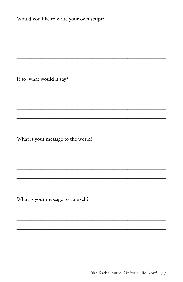| Would you like to write your own script? |
|------------------------------------------|
|                                          |
|                                          |
| If so, what would it say?                |
|                                          |
|                                          |
| What is your message to the world?       |
|                                          |
|                                          |
| What is your message to yourself?        |
|                                          |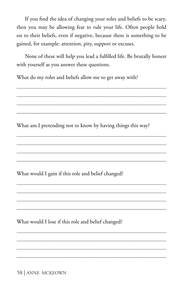If you find the idea of changing your roles and beliefs to be scary, then you may be allowing fear to rule your life. Often people hold on to their beliefs, even if negative, because there is something to be gained, for example: attention, pity, support or excuses.

None of these will help you lead a fulfilled life. Be brutally honest with yourself as you answer these questions.

What do my roles and beliefs allow me to get away with?

What am I pretending not to know by having things this way?

\_\_\_\_\_\_\_\_\_\_\_\_\_\_\_\_\_\_\_\_\_\_\_\_\_\_\_\_\_\_\_\_\_\_\_\_\_\_\_\_\_\_\_\_\_\_\_\_\_\_\_\_\_\_ \_\_\_\_\_\_\_\_\_\_\_\_\_\_\_\_\_\_\_\_\_\_\_\_\_\_\_\_\_\_\_\_\_\_\_\_\_\_\_\_\_\_\_\_\_\_\_\_\_\_\_\_\_\_ \_\_\_\_\_\_\_\_\_\_\_\_\_\_\_\_\_\_\_\_\_\_\_\_\_\_\_\_\_\_\_\_\_\_\_\_\_\_\_\_\_\_\_\_\_\_\_\_\_\_\_\_\_\_ \_\_\_\_\_\_\_\_\_\_\_\_\_\_\_\_\_\_\_\_\_\_\_\_\_\_\_\_\_\_\_\_\_\_\_\_\_\_\_\_\_\_\_\_\_\_\_\_\_\_\_\_\_\_

\_\_\_\_\_\_\_\_\_\_\_\_\_\_\_\_\_\_\_\_\_\_\_\_\_\_\_\_\_\_\_\_\_\_\_\_\_\_\_\_\_\_\_\_\_\_\_\_\_\_\_\_\_\_ \_\_\_\_\_\_\_\_\_\_\_\_\_\_\_\_\_\_\_\_\_\_\_\_\_\_\_\_\_\_\_\_\_\_\_\_\_\_\_\_\_\_\_\_\_\_\_\_\_\_\_\_\_\_ \_\_\_\_\_\_\_\_\_\_\_\_\_\_\_\_\_\_\_\_\_\_\_\_\_\_\_\_\_\_\_\_\_\_\_\_\_\_\_\_\_\_\_\_\_\_\_\_\_\_\_\_\_\_ \_\_\_\_\_\_\_\_\_\_\_\_\_\_\_\_\_\_\_\_\_\_\_\_\_\_\_\_\_\_\_\_\_\_\_\_\_\_\_\_\_\_\_\_\_\_\_\_\_\_\_\_\_\_

\_\_\_\_\_\_\_\_\_\_\_\_\_\_\_\_\_\_\_\_\_\_\_\_\_\_\_\_\_\_\_\_\_\_\_\_\_\_\_\_\_\_\_\_\_\_\_\_\_\_\_\_\_\_ \_\_\_\_\_\_\_\_\_\_\_\_\_\_\_\_\_\_\_\_\_\_\_\_\_\_\_\_\_\_\_\_\_\_\_\_\_\_\_\_\_\_\_\_\_\_\_\_\_\_\_\_\_\_ \_\_\_\_\_\_\_\_\_\_\_\_\_\_\_\_\_\_\_\_\_\_\_\_\_\_\_\_\_\_\_\_\_\_\_\_\_\_\_\_\_\_\_\_\_\_\_\_\_\_\_\_\_\_ \_\_\_\_\_\_\_\_\_\_\_\_\_\_\_\_\_\_\_\_\_\_\_\_\_\_\_\_\_\_\_\_\_\_\_\_\_\_\_\_\_\_\_\_\_\_\_\_\_\_\_\_\_\_

What would I gain if this role and belief changed?

What would I lose if this role and belief changed?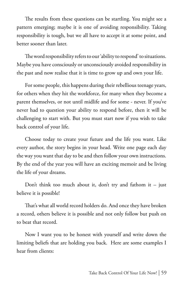The results from these questions can be startling. You might see a pattern emerging; maybe it is one of avoiding responsibility. Taking responsibility is tough, but we all have to accept it at some point, and better sooner than later.

The word responsibility refers to our 'ability to respond' to situations. Maybe you have consciously or unconsciously avoided responsibility in the past and now realise that it is time to grow up and own your life.

For some people, this happens during their rebellious teenage years, for others when they hit the workforce, for many when they become a parent themselves, or not until midlife and for some - never. If you've never had to question your ability to respond before, then it will be challenging to start with. But you must start now if you wish to take back control of your life.

Choose today to create your future and the life you want. Like every author, the story begins in your head. Write one page each day the way you want that day to be and then follow your own instructions. By the end of the year you will have an exciting memoir and be living the life of your dreams.

Don't think too much about it, don't try and fathom it  $-$  just believe it is possible!

That's what all world record holders do. And once they have broken a record, others believe it is possible and not only follow but push on to beat that record.

Now I want you to be honest with yourself and write down the limiting beliefs that are holding you back. Here are some examples I hear from clients: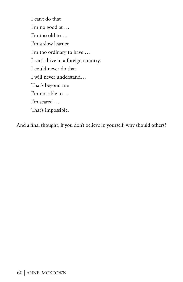I can't do that I'm no good at … I'm too old to … I'm a slow learner I'm too ordinary to have … I can't drive in a foreign country, I could never do that I will never understand… That's beyond me I'm not able to … I'm scared … That's impossible.

And a final thought, if you don't believe in yourself, why should others?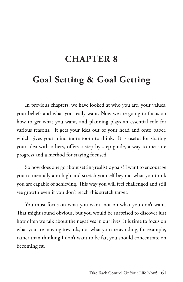# **CHAPTER 8**

# **Goal Setting & Goal Getting**

In previous chapters, we have looked at who you are, your values, your beliefs and what you really want. Now we are going to focus on how to get what you want, and planning plays an essential role for various reasons. It gets your idea out of your head and onto paper, which gives your mind more room to think. It is useful for sharing your idea with others, offers a step by step guide, a way to measure progress and a method for staying focused.

So how does one go about setting realistic goals? I want to encourage you to mentally aim high and stretch yourself beyond what you think you are capable of achieving. This way you will feel challenged and still see growth even if you don't reach this stretch target.

You must focus on what you want, not on what you don't want. That might sound obvious, but you would be surprised to discover just how often we talk about the negatives in our lives. It is time to focus on what you are moving towards, not what you are avoiding, for example, rather than thinking I don't want to be fat, you should concentrate on becoming fit.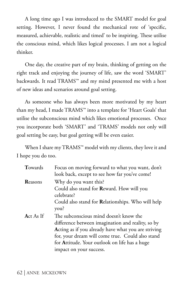A long time ago I was introduced to the SMART model for goal setting. However, I never found the mechanical rote of 'specific, measured, achievable, realistic and timed' to be inspiring. These utilise the conscious mind, which likes logical processes. I am not a logical thinker.

One day, the creative part of my brain, thinking of getting on the right track and enjoying the journey of life, saw the word 'SMART' backwards. It read TRAMS™ and my mind presented me with a host of new ideas and scenarios around goal setting.

As someone who has always been more motivated by my heart than my head, I made TRAMS™ into a template for 'Heart Goals' that utilise the subconscious mind which likes emotional processes. Once you incorporate both 'SMART' and 'TRAMS' models not only will goal setting be easy, but goal getting will be even easier.

When I share my TRAMS™ model with my clients, they love it and I hope you do too.

| Towards           | Focus on moving forward to what you want, don't<br>look back, except to see how far you've come!                                                                                                                                                                |
|-------------------|-----------------------------------------------------------------------------------------------------------------------------------------------------------------------------------------------------------------------------------------------------------------|
| Reasons           | Why do you want this?<br>Could also stand for <b>Reward</b> . How will you<br>celebrate?<br>Could also stand for Relationships. Who will help                                                                                                                   |
| <b>A</b> ct As If | you?<br>The subconscious mind doesn't know the<br>difference between imagination and reality, so by<br>Acting as if you already have what you are striving<br>for, your dream will come true. Could also stand<br>for Attitude. Your outlook on life has a huge |
|                   | impact on your success.                                                                                                                                                                                                                                         |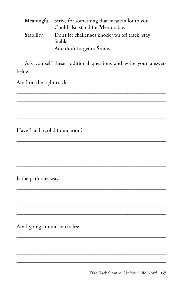|                  | Meaningful Strive for something that means a lot to you. |
|------------------|----------------------------------------------------------|
|                  | Could also stand for Memorable.                          |
| <b>Stability</b> | Don't let challenges knock you off track, stay           |
|                  | Stable.                                                  |
|                  | And don't forget to Smile.                               |

Ask yourself these additional questions and write your answers below:

Am I on the right track?

Have I laid a solid foundation?

Is the path one-way?

Am I going around in circles?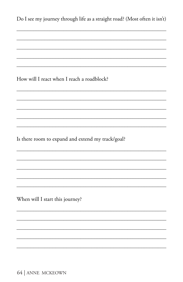| Do I see my journey through life as a straight road? (Most often it isn't) |
|----------------------------------------------------------------------------|
|                                                                            |
|                                                                            |
| How will I react when I reach a roadblock?                                 |
|                                                                            |
|                                                                            |
| Is there room to expand and extend my track/goal?                          |
|                                                                            |
|                                                                            |
| When will I start this journey?                                            |
|                                                                            |
|                                                                            |

64 | ANNE MCKEOWN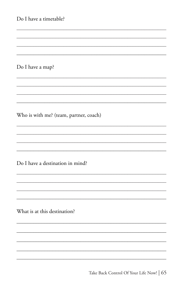| Do I have a timetable?                 |
|----------------------------------------|
|                                        |
|                                        |
| Do I have a map?                       |
|                                        |
| Who is with me? (team, partner, coach) |
|                                        |
| Do I have a destination in mind?       |
|                                        |
| What is at this destination?           |
|                                        |
|                                        |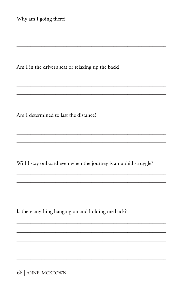| Why am I going there?                                            |
|------------------------------------------------------------------|
|                                                                  |
|                                                                  |
| Am I in the driver's seat or relaxing up the back?               |
|                                                                  |
|                                                                  |
| Am I determined to last the distance?                            |
|                                                                  |
|                                                                  |
| Will I stay onboard even when the journey is an uphill struggle? |
|                                                                  |
|                                                                  |
| Is there anything hanging on and holding me back?                |
|                                                                  |
|                                                                  |
|                                                                  |
|                                                                  |

66 | ANNE MCKEOWN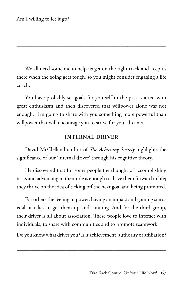We all need someone to help us get on the right track and keep us there when the going gets tough, so you might consider engaging a life coach.

You have probably set goals for yourself in the past, started with great enthusiasm and then discovered that willpower alone was not enough. I'm going to share with you something more powerful than willpower that will encourage you to strive for your dreams.

### **INTERNAL DRIVER**

David McClelland author of *The Achieving Society* highlights the significance of our 'internal driver' through his cognitive theory.

He discovered that for some people the thought of accomplishing tasks and advancing in their role is enough to drive them forward in life; they thrive on the idea of ticking off the next goal and being promoted.

For others the feeling of power, having an impact and gaining status is all it takes to get them up and running. And for the third group, their driver is all about association. These people love to interact with individuals, to share with communities and to promote teamwork.

Do you know what drives you? Is it achievement, authority or affiliation? \_\_\_\_\_\_\_\_\_\_\_\_\_\_\_\_\_\_\_\_\_\_\_\_\_\_\_\_\_\_\_\_\_\_\_\_\_\_\_\_\_\_\_\_\_\_\_\_\_\_\_\_\_\_

\_\_\_\_\_\_\_\_\_\_\_\_\_\_\_\_\_\_\_\_\_\_\_\_\_\_\_\_\_\_\_\_\_\_\_\_\_\_\_\_\_\_\_\_\_\_\_\_\_\_\_\_\_\_ \_\_\_\_\_\_\_\_\_\_\_\_\_\_\_\_\_\_\_\_\_\_\_\_\_\_\_\_\_\_\_\_\_\_\_\_\_\_\_\_\_\_\_\_\_\_\_\_\_\_\_\_\_\_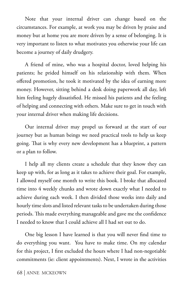Note that your internal driver can change based on the circumstances. For example, at work you may be driven by praise and money but at home you are more driven by a sense of belonging. It is very important to listen to what motivates you otherwise your life can become a journey of daily drudgery.

A friend of mine, who was a hospital doctor, loved helping his patients; he prided himself on his relationship with them. When offered promotion, he took it motivated by the idea of earning more money. However, sitting behind a desk doing paperwork all day, left him feeling hugely dissatisfied. He missed his patients and the feeling of helping and connecting with others. Make sure to get in touch with your internal driver when making life decisions.

Our internal driver may propel us forward at the start of our journey but as human beings we need practical tools to help us keep going. That is why every new development has a blueprint, a pattern or a plan to follow.

I help all my clients create a schedule that they know they can keep up with, for as long as it takes to achieve their goal. For example, I allowed myself one month to write this book. I broke that allocated time into 4 weekly chunks and wrote down exactly what I needed to achieve during each week. I then divided those weeks into daily and hourly time slots and listed relevant tasks to be undertaken during those periods. This made everything manageable and gave me the confidence I needed to know that I could achieve all I had set out to do.

One big lesson I have learned is that you will never find time to do everything you want. You have to make time. On my calendar for this project, I first excluded the hours where I had non-negotiable commitments (ie: client appointments). Next, I wrote in the activities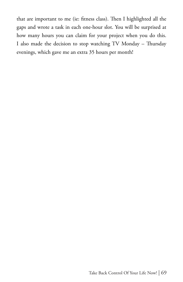that are important to me (ie: fitness class). Then I highlighted all the gaps and wrote a task in each one-hour slot. You will be surprised at how many hours you can claim for your project when you do this. I also made the decision to stop watching TV Monday – Thursday evenings, which gave me an extra 35 hours per month!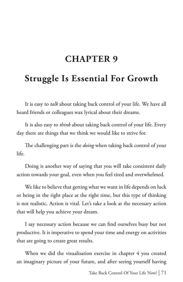## **CHAPTER 9**

## **Struggle Is Essential For Growth**

It is easy to *talk* about taking back control of your life. We have all heard friends or colleagues wax lyrical about their dreams.

It is also easy to *think* about taking back control of your life. Every day there are things that we think we would like to strive for.

The challenging part is the *doing* when taking back control of your life.

Doing is another way of saying that you will take consistent daily action towards your goal, even when you feel tired and overwhelmed.

We like to believe that getting what we want in life depends on luck or being in the right place at the right time, but this type of thinking is not realistic. Action is vital. Let's take a look at the necessary action that will help you achieve your dream.

I say necessary action because we can find ourselves busy but not productive. It is imperative to spend your time and energy on activities that are going to create great results.

When we did the visualisation exercise in chapter 4 you created an imaginary picture of your future, and after seeing yourself having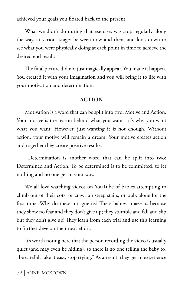achieved your goals you floated back to the present.

What we didn't do during that exercise, was stop regularly along the way, at various stages between now and then, and look down to see what you were physically doing at each point in time to achieve the desired end result.

The final picture did not just magically appear. You made it happen. You created it with your imagination and you will bring it to life with your motivation and determination.

#### **ACTION**

Motivation is a word that can be split into two: Motive and Action. Your motive is the reason behind what you want - it's why you want what you want. However, just wanting it is not enough. Without action, your motive will remain a dream. Your motive creates action and together they create positive results.

 Determination is another word that can be split into two: Determined and Action. To be determined is to be committed, to let nothing and no one get in your way.

We all love watching videos on YouTube of babies attempting to climb out of their cots, or crawl up steep stairs, or walk alone for the first time. Why do these intrigue us? These babies amaze us because they show no fear and they don't give up; they stumble and fall and slip but they don't give up! They learn from each trial and use this learning to further develop their next effort.

It's worth noting here that the person recording the video is usually quiet (and may even be hiding), so there is no one telling the baby to, "be careful, take it easy, stop trying." As a result, they get to experience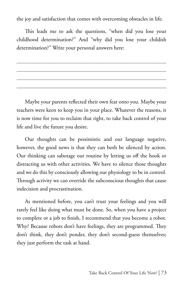the joy and satisfaction that comes with overcoming obstacles in life.

This leads me to ask the questions, "when did you lose your childhood determination?" And "why did you lose your childish determination?" Write your personal answers here:

Maybe your parents reflected their own fear onto you. Maybe your teachers were keen to keep you in your place. Whatever the reasons, it is now time for you to reclaim that right, to take back control of your life and live the future you desire.

Our thoughts can be pessimistic and our language negative, however, the good news is that they can both be silenced by action. Our thinking can sabotage our routine by letting us off the hook or distracting us with other activities. We have to silence those thoughts and we do this by consciously allowing our physiology to be in control. Through activity we can override the subconscious thoughts that cause indecision and procrastination.

As mentioned before, you can't trust your feelings and you will rarely feel like doing what must be done. So, when you have a project to complete or a job to finish, I recommend that you become a robot. Why? Because robots don't have feelings, they are programmed. They don't think, they don't ponder, they don't second-guess themselves; they just perform the task at hand.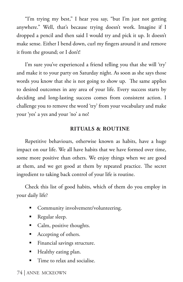"I'm trying my best," I hear you say, "but I'm just not getting anywhere." Well, that's because trying doesn't work. Imagine if I dropped a pencil and then said I would try and pick it up. It doesn't make sense. Either I bend down, curl my fingers around it and remove it from the ground; or I don't!

I'm sure you've experienced a friend telling you that she will 'try' and make it to your party on Saturday night. As soon as she says those words you know that she is not going to show up. The same applies to desired outcomes in any area of your life. Every success starts by deciding and long-lasting success comes from consistent action. I challenge you to remove the word 'try' from your vocabulary and make your 'yes' a yes and your 'no' a no!

#### **RITUALS & ROUTINE**

Repetitive behaviours, otherwise known as habits, have a huge impact on our life. We all have habits that we have formed over time, some more positive than others. We enjoy things when we are good at them, and we get good at them by repeated practice. The secret ingredient to taking back control of your life is routine.

Check this list of good habits, which of them do you employ in your daily life?

- Community involvement/volunteering.
- Regular sleep.
- Calm, positive thoughts.
- Accepting of others.
- **Financial savings structure.**
- **Healthy eating plan.**
- Time to relax and socialise.

#### 74 | ANNE MCKEOWN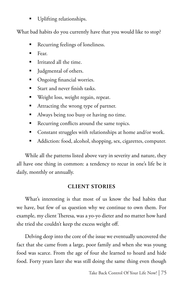Uplifting relationships.

What bad habits do you currently have that you would like to stop?

- Recurring feelings of loneliness.
- $\blacksquare$  Fear.
- $\blacksquare$  Irritated all the time.
- Uldgmental of others.
- **Dimes** Ongoing financial worries.
- Start and never finish tasks.
- **Weight loss, weight regain, repeat.**
- **Attracting the wrong type of partner.**
- Always being too busy or having no time.
- Recurring conflicts around the same topics.
- **Constant struggles with relationships at home and/or work.**
- Addiction: food, alcohol, shopping, sex, cigarettes, computer.

While all the patterns listed above vary in severity and nature, they all have one thing in common: a tendency to recur in one's life be it daily, monthly or annually.

### **CLIENT STORIES**

What's interesting is that most of us know the bad habits that we have, but few of us question why we continue to own them. For example, my client Theresa, was a yo-yo dieter and no matter how hard she tried she couldn't keep the excess weight off.

Delving deep into the core of the issue we eventually uncovered the fact that she came from a large, poor family and when she was young food was scarce. From the age of four she learned to hoard and hide food. Forty years later she was still doing the same thing even though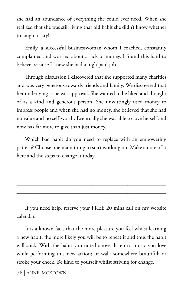she had an abundance of everything she could ever need. When she realized that she was still living that old habit she didn't know whether to laugh or cry!

Emily, a successful businesswoman whom I coached, constantly complained and worried about a lack of money. I found this hard to believe because I knew she had a high paid job.

Through discussion I discovered that she supported many charities and was very generous towards friends and family. We discovered that her underlying issue was approval. She wanted to be liked and thought of as a kind and generous person. She unwittingly used money to impress people and when she had no money, she believed that she had no value and no self-worth. Eventually she was able to love herself and now has far more to give than just money.

Which bad habit do you need to replace with an empowering pattern? Choose one main thing to start working on. Make a note of it here and the steps to change it today.

If you need help, reserve your FREE 20 mins call on my website calendar.

It is a known fact, that the more pleasure you feel whilst learning a new habit, the more likely you will be to repeat it and thus the habit will stick. With the habit you noted above, listen to music you love while performing this new action; or walk somewhere beautiful; or stroke your cheek. Be kind to yourself whilst striving for change.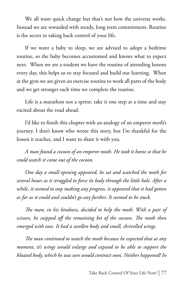We all want quick change but that's not how the universe works. Instead we are rewarded with steady, long term commitment. Routine is the secret to taking back control of your life.

If we want a baby to sleep, we are advised to adopt a bedtime routine, so the baby becomes accustomed and knows what to expect next. When we are a student we have the routine of attending lessons every day, this helps us to stay focused and build our learning. When at the gym we are given an exercise routine to work all parts of the body and we get stronger each time we complete the routine.

Life is a marathon not a sprint; take it one step at a time and stay excited about the road ahead.

I'd like to finish this chapter with an analogy of an emperor moth's journey. I don't know who wrote this story, but I'm thankful for the lesson it teaches, and I want to share it with you.

*A man found a cocoon of an emperor moth. He took it home so that he could watch it come out of the cocoon.* 

*One day a small opening appeared, he sat and watched the moth for several hours as it struggled to force its body through the little hole. After a while, it seemed to stop making any progress, it appeared that it had gotten as far as it could and couldn't go any further. It seemed to be stuck.*

*The man, in his kindness, decided to help the moth. With a pair of scissors, he snipped off the remaining bit of the cocoon. The moth then emerged with ease. It had a swollen body and small, shrivelled wings.* 

*The man continued to watch the moth because he expected that at any moment, it's wings would enlarge and expand to be able to support the bloated body, which he was sure would contract soon. Neither happened! In*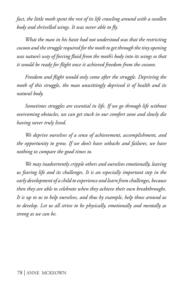*fact, the little moth spent the rest of its life crawling around with a swollen body and shrivelled wings. It was never able to fly.*

*What the man in his haste had not understood was that the restricting cocoon and the struggle required for the moth to get through the tiny opening was nature's way of forcing fluid from the moth's body into its wings so that it would be ready for flight once it achieved freedom from the cocoon.* 

*Freedom and flight would only come after the struggle. Depriving the moth of this struggle, the man unwittingly deprived it of health and its natural body.*

*Sometimes struggles are essential in life. If we go through life without overcoming obstacles, we can get stuck in our comfort zone and slowly die having never truly lived.* 

*We deprive ourselves of a sense of achievement, accomplishment, and the opportunity to grow. If we don't have setbacks and failures, we have nothing to compare the good times to.* 

*We may inadvertently cripple others and ourselves emotionally, leaving us fearing life and its challenges. It is an especially important step in the early development of a child to experience and learn from challenges, because then they are able to celebrate when they achieve their own breakthroughs. It is up to us to help ourselves, and thus by example, help those around us to develop. Let us all strive to be physically, emotionally and mentally as strong as we can be.*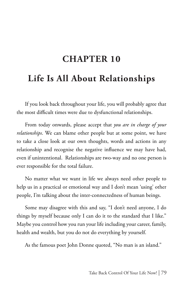## **CHAPTER 10**

## **Life Is All About Relationships**

If you look back throughout your life, you will probably agree that the most difficult times were due to dysfunctional relationships.

From today onwards, please accept that *you are in charge of your relationships*. We can blame other people but at some point, we have to take a close look at our own thoughts, words and actions in any relationship and recognise the negative influence we may have had, even if unintentional. Relationships are two-way and no one person is ever responsible for the total failure.

No matter what we want in life we always need other people to help us in a practical or emotional way and I don't mean 'using' other people, I'm talking about the inter-connectedness of human beings.

Some may disagree with this and say, "I don't need anyone, I do things by myself because only I can do it to the standard that I like." Maybe you control how you run your life including your career, family, health and wealth, but you do not do everything by yourself.

As the famous poet John Donne quoted, "No man is an island."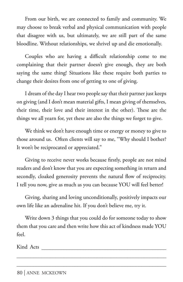From our birth, we are connected to family and community. We may choose to break verbal and physical communication with people that disagree with us, but ultimately, we are still part of the same bloodline. Without relationships, we shrivel up and die emotionally.

Couples who are having a difficult relationship come to me complaining that their partner doesn't give enough, they are both saying the same thing! Situations like these require both parties to change their desires from one of getting to one of giving.

I dream of the day I hear two people say that their partner just keeps on giving (and I don't mean material gifts, I mean giving of themselves, their time, their love and their interest in the other). These are the things we all yearn for, yet these are also the things we forget to give.

We think we don't have enough time or energy or money to give to those around us. Often clients will say to me, "Why should I bother? It won't be reciprocated or appreciated."

Giving to receive never works because firstly, people are not mind readers and don't know that you are expecting something in return and secondly, cloaked generosity prevents the natural flow of reciprocity. I tell you now, give as much as you can because YOU will feel better!

Giving, sharing and loving unconditionally, positively impacts our own life like an adrenaline hit. If you don't believe me, try it.

Write down 3 things that you could do for someone today to show them that you care and then write how this act of kindness made YOU feel.

Kind Acts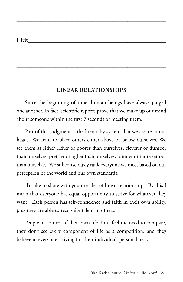### I felt\_\_\_\_\_\_\_\_\_\_\_\_\_\_\_\_\_\_\_\_\_\_\_\_\_\_\_\_\_\_\_\_\_\_\_\_\_\_\_\_\_\_\_\_\_\_\_\_\_\_

#### **LINEAR RELATIONSHIPS**

\_\_\_\_\_\_\_\_\_\_\_\_\_\_\_\_\_\_\_\_\_\_\_\_\_\_\_\_\_\_\_\_\_\_\_\_\_\_\_\_\_\_\_\_\_\_\_\_\_\_\_\_\_\_  $\mathcal{L}_\text{max}$  and  $\mathcal{L}_\text{max}$  and  $\mathcal{L}_\text{max}$  and  $\mathcal{L}_\text{max}$  and  $\mathcal{L}_\text{max}$ 

 $\mathcal{L}_\text{max}$  and  $\mathcal{L}_\text{max}$  and  $\mathcal{L}_\text{max}$  and  $\mathcal{L}_\text{max}$  and  $\mathcal{L}_\text{max}$  $\mathcal{L}_\text{max}$  and  $\mathcal{L}_\text{max}$  and  $\mathcal{L}_\text{max}$  and  $\mathcal{L}_\text{max}$  and  $\mathcal{L}_\text{max}$  $\mathcal{L}_\text{max}$  and  $\mathcal{L}_\text{max}$  and  $\mathcal{L}_\text{max}$  and  $\mathcal{L}_\text{max}$  and  $\mathcal{L}_\text{max}$ \_\_\_\_\_\_\_\_\_\_\_\_\_\_\_\_\_\_\_\_\_\_\_\_\_\_\_\_\_\_\_\_\_\_\_\_\_\_\_\_\_\_\_\_\_\_\_\_\_\_\_\_\_\_

Since the beginning of time, human beings have always judged one another. In fact, scientific reports prove that we make up our mind about someone within the first 7 seconds of meeting them.

Part of this judgment is the hierarchy system that we create in our head. We tend to place others either above or below ourselves. We see them as either richer or poorer than ourselves, cleverer or dumber than ourselves, prettier or uglier than ourselves, funnier or more serious than ourselves. We subconsciously rank everyone we meet based on our perception of the world and our own standards.

 I'd like to share with you the idea of linear relationships. By this I mean that everyone has equal opportunity to strive for whatever they want. Each person has self-confidence and faith in their own ability, plus they are able to recognise talent in others.

People in control of their own life don't feel the need to compare, they don't see every component of life as a competition, and they believe in everyone striving for their individual, personal best.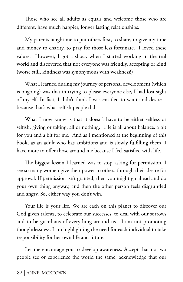Those who see all adults as equals and welcome those who are different, have much happier, longer lasting relationships.

My parents taught me to put others first, to share, to give my time and money to charity, to pray for those less fortunate. I loved these values. However, I got a shock when I started working in the real world and discovered that not everyone was friendly, accepting or kind (worse still, kindness was synonymous with weakness!)

What I learned during my journey of personal development (which is ongoing) was that in trying to please everyone else, I had lost sight of myself. In fact, I didn't think I was entitled to want and desire – because that's what selfish people did.

What I now know is that it doesn't have to be either selfless or selfish, giving or taking, all or nothing. Life is all about balance, a bit for you and a bit for me. And as I mentioned at the beginning of this book, as an adult who has ambitions and is slowly fulfilling them, I have more to offer those around me because I feel satisfied with life.

The biggest lesson I learned was to stop asking for permission. I see so many women give their power to others through their desire for approval. If permission isn't granted, then you might go ahead and do your own thing anyway, and then the other person feels disgruntled and angry. So, either way you don't win.

Your life is your life. We are each on this planet to discover our God given talents, to celebrate our successes, to deal with our sorrows and to be guardians of everything around us. I am not promoting thoughtlessness. I am highlighting the need for each individual to take responsibility for her own life and future.

Let me encourage you to develop awareness. Accept that no two people see or experience the world the same; acknowledge that our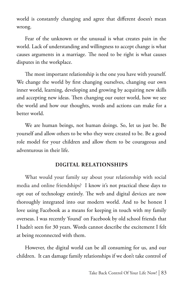world is constantly changing and agree that different doesn't mean wrong.

Fear of the unknown or the unusual is what creates pain in the world. Lack of understanding and willingness to accept change is what causes arguments in a marriage. The need to be right is what causes disputes in the workplace.

The most important relationship is the one you have with yourself. We change the world by first changing ourselves, changing our own inner world, learning, developing and growing by acquiring new skills and accepting new ideas. Then changing our outer world, how we see the world and how our thoughts, words and actions can make for a better world.

We are human beings, not human doings. So, let us just be. Be yourself and allow others to be who they were created to be. Be a good role model for your children and allow them to be courageous and adventurous in their life.

#### **DIGITAL RELATIONSHIPS**

What would your family say about your relationship with social media and online friendships? I know it's not practical these days to opt out of technology entirely. The web and digital devices are now thoroughly integrated into our modern world. And to be honest I love using Facebook as a means for keeping in touch with my family overseas. I was recently 'found' on Facebook by old school friends that I hadn't seen for 30 years. Words cannot describe the excitement I felt at being reconnected with them.

However, the digital world can be all consuming for us, and our children. It can damage family relationships if we don't take control of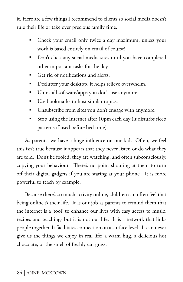it. Here are a few things I recommend to clients so social media doesn't rule their life or take over precious family time.

- Check your email only twice a day maximum, unless your work is based entirely on email of course!
- Don't click any social media sites until you have completed other important tasks for the day.
- Get rid of notifications and alerts.
- **Declutter your desktop, it helps relieve overwhelm.**
- Uninstall software/apps you don't use anymore.
- Use bookmarks to host similar topics.
- Unsubscribe from sites you don't engage with anymore.
- Stop using the Internet after 10pm each day (it disturbs sleep patterns if used before bed time).

As parents, we have a huge influence on our kids. Often, we feel this isn't true because it appears that they never listen or do what they are told. Don't be fooled, they are watching, and often subconsciously, copying your behaviour. There's no point shouting at them to turn off their digital gadgets if you are staring at your phone. It is more powerful to teach by example.

Because there's so much activity online, children can often feel that being online *is* their life. It is our job as parents to remind them that the internet is a 'tool' to enhance our lives with easy access to music, recipes and teachings but it is not our life. It is a network that links people together. It facilitates connection on a surface level. It can never give us the things we enjoy in real life: a warm hug, a delicious hot chocolate, or the smell of freshly cut grass.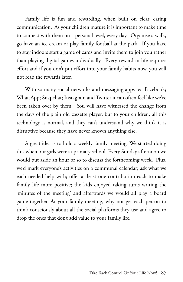Family life is fun and rewarding, when built on clear, caring communication. As your children mature it is important to make time to connect with them on a personal level, every day. Organise a walk, go have an ice-cream or play family football at the park. If you have to stay indoors start a game of cards and invite them to join you rather than playing digital games individually. Every reward in life requires effort and if you don't put effort into your family habits now, you will not reap the rewards later.

With so many social networks and messaging apps ie: Facebook; WhatsApp; Snapchat; Instagram and Twitter it can often feel like we've been taken over by them. You will have witnessed the change from the days of the plain old cassette player, but to your children, all this technology is normal, and they can't understand why we think it is disruptive because they have never known anything else.

A great idea is to hold a weekly family meeting. We started doing this when our girls were at primary school. Every Sunday afternoon we would put aside an hour or so to discuss the forthcoming week. Plus, we'd mark everyone's activities on a communal calendar; ask what we each needed help with; offer at least one contribution each to make family life more positive; the kids enjoyed taking turns writing the 'minutes of the meeting' and afterwards we would all play a board game together. At your family meeting, why not get each person to think consciously about all the social platforms they use and agree to drop the ones that don't add value to your family life.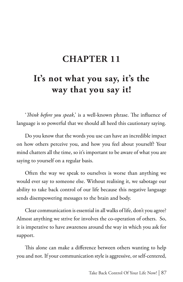## **CHAPTER 11**

# **It's not what you say, it's the way that you say it!**

'*Think before you speak*,' is a well-known phrase. The influence of language is so powerful that we should all heed this cautionary saying.

Do you know that the words you use can have an incredible impact on how others perceive you, and how you feel about yourself? Your mind chatters all the time, so it's important to be aware of what you are saying to yourself on a regular basis.

Often the way we speak to ourselves is worse than anything we would ever say to someone else. Without realising it, we sabotage our ability to take back control of our life because this negative language sends disempowering messages to the brain and body.

Clear communication is essential in all walks of life, don't you agree? Almost anything we strive for involves the co-operation of others. So, it is imperative to have awareness around the way in which you ask for support.

This alone can make a difference between others wanting to help you and not. If your communication style is aggressive, or self-centered,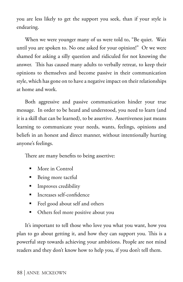you are less likely to get the support you seek, than if your style is endearing.

When we were younger many of us were told to, "Be quiet. Wait until you are spoken to. No one asked for your opinion!" Or we were shamed for asking a silly question and ridiculed for not knowing the answer. This has caused many adults to verbally retreat, to keep their opinions to themselves and become passive in their communication style, which has gone on to have a negative impact on their relationships at home and work.

Both aggressive and passive communication hinder your true message. In order to be heard and understood, you need to learn (and it is a skill that can be learned), to be assertive. Assertiveness just means learning to communicate your needs, wants, feelings, opinions and beliefs in an honest and direct manner, without intentionally hurting anyone's feelings.

There are many benefits to being assertive:

- More in Control
- Being more tactful
- **Improves credibility**
- Increases self-confidence
- Feel good about self and others
- Others feel more positive about you

It's important to tell those who love you what you want, how you plan to go about getting it, and how they can support you. This is a powerful step towards achieving your ambitions. People are not mind readers and they don't know how to help you, if you don't tell them.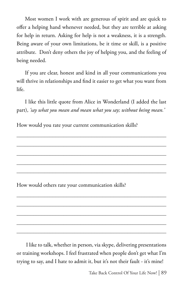Most women I work with are generous of spirit and are quick to offer a helping hand whenever needed, but they are terrible at asking for help in return. Asking for help is not a weakness, it is a strength. Being aware of your own limitations, be it time or skill, is a positive attribute. Don't deny others the joy of helping you, and the feeling of being needed.

If you are clear, honest and kind in all your communications you will thrive in relationships and find it easier to get what you want from life.

I like this little quote from Alice in Wonderland (I added the last part), *'say what you mean and mean what you say; without being mean.'*

\_\_\_\_\_\_\_\_\_\_\_\_\_\_\_\_\_\_\_\_\_\_\_\_\_\_\_\_\_\_\_\_\_\_\_\_\_\_\_\_\_\_\_\_\_\_\_\_\_\_\_\_\_\_

\_\_\_\_\_\_\_\_\_\_\_\_\_\_\_\_\_\_\_\_\_\_\_\_\_\_\_\_\_\_\_\_\_\_\_\_\_\_\_\_\_\_\_\_\_\_\_\_\_\_\_\_\_\_

\_\_\_\_\_\_\_\_\_\_\_\_\_\_\_\_\_\_\_\_\_\_\_\_\_\_\_\_\_\_\_\_\_\_\_\_\_\_\_\_\_\_\_\_\_\_\_\_\_\_\_\_\_\_ \_\_\_\_\_\_\_\_\_\_\_\_\_\_\_\_\_\_\_\_\_\_\_\_\_\_\_\_\_\_\_\_\_\_\_\_\_\_\_\_\_\_\_\_\_\_\_\_\_\_\_\_\_\_

 $\mathcal{L}_\text{max}$  and  $\mathcal{L}_\text{max}$  and  $\mathcal{L}_\text{max}$  and  $\mathcal{L}_\text{max}$  and  $\mathcal{L}_\text{max}$ 

\_\_\_\_\_\_\_\_\_\_\_\_\_\_\_\_\_\_\_\_\_\_\_\_\_\_\_\_\_\_\_\_\_\_\_\_\_\_\_\_\_\_\_\_\_\_\_\_\_\_\_\_\_\_

 $\mathcal{L}_\text{max}$  and  $\mathcal{L}_\text{max}$  and  $\mathcal{L}_\text{max}$  and  $\mathcal{L}_\text{max}$  and  $\mathcal{L}_\text{max}$  $\mathcal{L}_\text{max}$  and  $\mathcal{L}_\text{max}$  and  $\mathcal{L}_\text{max}$  and  $\mathcal{L}_\text{max}$  and  $\mathcal{L}_\text{max}$ 

How would you rate your current communication skills?

How would others rate your communication skills?

 I like to talk, whether in person, via skype, delivering presentations or training workshops. I feel frustrated when people don't get what I'm trying to say, and I hate to admit it, but it's not their fault - it's mine!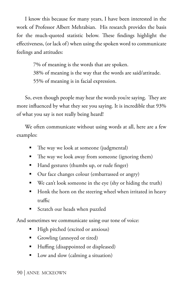I know this because for many years, I have been interested in the work of Professor Albert Mehrabian. His research provides the basis for the much-quoted statistic below. These findings highlight the effectiveness, (or lack of) when using the spoken word to communicate feelings and attitudes:

> 7% of meaning is the words that are spoken. 38% of meaning is the way that the words are said/attitude. 55% of meaning is in facial expression.

So, even though people may hear the words you're saying. They are more influenced by what they see you saying. It is incredible that 93% of what you say is not really being heard!

We often communicate without using words at all, here are a few examples:

- The way we look at someone (judgmental)
- The way we look away from someone (ignoring them)
- Hand gestures (thumbs up, or rude finger)
- Our face changes colour (embarrassed or angry)
- $\blacksquare$  We can't look someone in the eye (shy or hiding the truth)
- Honk the horn on the steering wheel when irritated in heavy traffic
- Scratch our heads when puzzled

And sometimes we communicate using our tone of voice:

- High pitched (excited or anxious)
- Growling (annoyed or tired)
- Huffing (disappointed or displeased)
- Low and slow (calming a situation)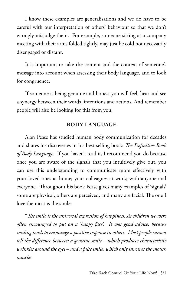I know these examples are generalisations and we do have to be careful with our interpretation of others' behaviour so that we don't wrongly misjudge them. For example, someone sitting at a company meeting with their arms folded tightly, may just be cold not necessarily disengaged or distant.

It is important to take the content and the context of someone's message into account when assessing their body language, and to look for congruence.

If someone is being genuine and honest you will feel, hear and see a synergy between their words, intentions and actions. And remember people will also be looking for this from you.

#### **BODY LANGUAGE**

Alan Pease has studied human body communication for decades and shares his discoveries in his best-selling book: *The Definitive Book of Body Language.* If you haven't read it, I recommend you do because once you are aware of the signals that you intuitively give out, you can use this understanding to communicate more effectively with your loved ones at home; your colleagues at work; with anyone and everyone. Throughout his book Pease gives many examples of 'signals' some are physical, others are perceived, and many are facial. The one I love the most is the smile:

"*The smile is the universal expression of happiness. As children we were often encouraged to put on a 'happy face'. It was good advice, because smiling tends to encourage a positive response in others. Most people cannot tell the difference between a genuine smile – which produces characteristic wrinkles around the eyes – and a false smile, which only involves the mouth muscles.*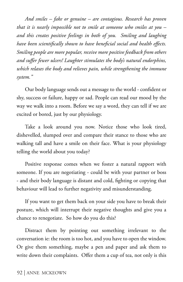*And smiles – fake or genuine – are contagious. Research has proven that it is nearly impossible not to smile at someone who smiles at you – and this creates positive feelings in both of you. Smiling and laughing have been scientifically shown to have beneficial social and health effects. Smiling people are more popular, receive more positive feedback from others and suffer fewer ulcers! Laughter stimulates the body's natural endorphins, which relaxes the body and relieves pain, while strengthening the immune system."* 

Our body language sends out a message to the world - confident or shy, success or failure, happy or sad. People can read our mood by the way we walk into a room. Before we say a word, they can tell if we are excited or bored, just by our physiology.

Take a look around you now. Notice those who look tired, dishevelled, slumped over and compare their stance to those who are walking tall and have a smile on their face. What is your physiology telling the world about you today?

Positive response comes when we foster a natural rapport with someone. If you are negotiating - could be with your partner or boss - and their body language is distant and cold, fighting or copying that behaviour will lead to further negativity and misunderstanding.

If you want to get them back on your side you have to break their posture, which will interrupt their negative thoughts and give you a chance to renegotiate. So how do you do this?

Distract them by pointing out something irrelevant to the conversation ie: the room is too hot, and you have to open the window. Or give them something, maybe a pen and paper and ask them to write down their complaints. Offer them a cup of tea, not only is this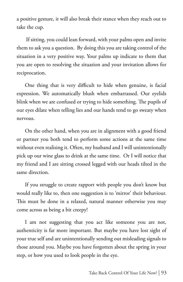a positive gesture, it will also break their stance when they reach out to take the cup.

 If sitting, you could lean forward, with your palms open and invite them to ask you a question. By doing this you are taking control of the situation in a very positive way. Your palms up indicate to them that you are open to resolving the situation and your invitation allows for reciprocation.

One thing that is very difficult to hide when genuine, is facial expression. We automatically blush when embarrassed. Our eyelids blink when we are confused or trying to hide something. The pupils of our eyes dilate when telling lies and our hands tend to go sweaty when nervous.

On the other hand, when you are in alignment with a good friend or partner you both tend to perform some actions at the same time without even realising it. Often, my husband and I will unintentionally pick up our wine glass to drink at the same time. Or I will notice that my friend and I are sitting crossed legged with our heads tilted in the same direction.

If you struggle to create rapport with people you don't know but would really like to, then one suggestion is to 'mirror' their behaviour. This must be done in a relaxed, natural manner otherwise you may come across as being a bit creepy!

I am not suggesting that you act like someone you are not, authenticity is far more important. But maybe you have lost sight of your true self and are unintentionally sending out misleading signals to those around you. Maybe you have forgotten about the spring in your step, or how you used to look people in the eye.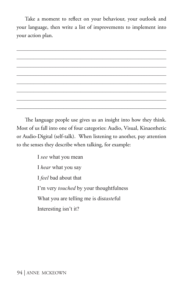Take a moment to reflect on your behaviour, your outlook and your language, then write a list of improvements to implement into your action plan.

The language people use gives us an insight into how they think. Most of us fall into one of four categories: Audio, Visual, Kinaesthetic or Audio-Digital (self-talk). When listening to another, pay attention to the senses they describe when talking, for example:

> I *see* what you mean I *hear* what you say I *feel* bad about that I'm very *touched* by your thoughtfulness What you are telling me is dis*taste*ful Interesting isn't it?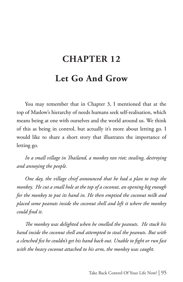# **CHAPTER 12**

## **Let Go And Grow**

You may remember that in Chapter 3, I mentioned that at the top of Maslow's hierarchy of needs humans seek self-realisation, which means being at one with ourselves and the world around us. We think of this as being in control, but actually it's more about letting go. I would like to share a short story that illustrates the importance of letting go.

*In a small village in Thailand, a monkey ran riot; stealing, destroying and annoying the people.* 

*One day, the village chief announced that he had a plan to trap the monkey. He cut a small hole at the top of a coconut, an opening big enough for the monkey to put its hand in. He then emptied the coconut milk and placed some peanuts inside the coconut shell and left it where the monkey could find it.*

*The monkey was delighted when he smelled the peanuts. He stuck his hand inside the coconut shell and attempted to steal the peanuts. But with a clenched fist he couldn't get his hand back out. Unable to fight or run fast with the heavy coconut attached to his arm, the monkey was caught.*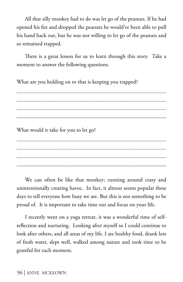All that silly monkey had to do was let go of the peanuts. If he had opened his fist and dropped the peanuts he would've been able to pull his hand back out, but he was not willing to let go of the peanuts and so remained trapped.

There is a great lesson for us to learn through this story. Take a moment to answer the following questions.

\_\_\_\_\_\_\_\_\_\_\_\_\_\_\_\_\_\_\_\_\_\_\_\_\_\_\_\_\_\_\_\_\_\_\_\_\_\_\_\_\_\_\_\_\_\_\_\_\_\_\_\_\_\_ \_\_\_\_\_\_\_\_\_\_\_\_\_\_\_\_\_\_\_\_\_\_\_\_\_\_\_\_\_\_\_\_\_\_\_\_\_\_\_\_\_\_\_\_\_\_\_\_\_\_\_\_\_\_ \_\_\_\_\_\_\_\_\_\_\_\_\_\_\_\_\_\_\_\_\_\_\_\_\_\_\_\_\_\_\_\_\_\_\_\_\_\_\_\_\_\_\_\_\_\_\_\_\_\_\_\_\_\_ \_\_\_\_\_\_\_\_\_\_\_\_\_\_\_\_\_\_\_\_\_\_\_\_\_\_\_\_\_\_\_\_\_\_\_\_\_\_\_\_\_\_\_\_\_\_\_\_\_\_\_\_\_\_

\_\_\_\_\_\_\_\_\_\_\_\_\_\_\_\_\_\_\_\_\_\_\_\_\_\_\_\_\_\_\_\_\_\_\_\_\_\_\_\_\_\_\_\_\_\_\_\_\_\_\_\_\_\_ \_\_\_\_\_\_\_\_\_\_\_\_\_\_\_\_\_\_\_\_\_\_\_\_\_\_\_\_\_\_\_\_\_\_\_\_\_\_\_\_\_\_\_\_\_\_\_\_\_\_\_\_\_\_ \_\_\_\_\_\_\_\_\_\_\_\_\_\_\_\_\_\_\_\_\_\_\_\_\_\_\_\_\_\_\_\_\_\_\_\_\_\_\_\_\_\_\_\_\_\_\_\_\_\_\_\_\_\_ \_\_\_\_\_\_\_\_\_\_\_\_\_\_\_\_\_\_\_\_\_\_\_\_\_\_\_\_\_\_\_\_\_\_\_\_\_\_\_\_\_\_\_\_\_\_\_\_\_\_\_\_\_\_

What are you holding on to that is keeping you trapped?

What would it take for you to let go?

We can often be like that monkey; running around crazy and unintentionally creating havoc. In fact, it almost seems popular these days to tell everyone how busy we are. But this is not something to be proud of. It is important to take time out and focus on your life.

I recently went on a yoga retreat, it was a wonderful time of selfreflection and nurturing. Looking after myself so I could continue to look after others, and all areas of my life. I ate healthy food, drank lots of fresh water, slept well, walked among nature and took time to be grateful for each moment.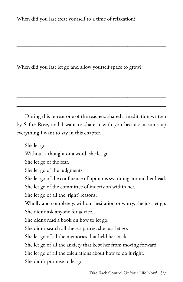When did you last treat yourself to a time of relaxation?

When did you last let go and allow yourself space to grow?

During this retreat one of the teachers shared a meditation written by Safire Rose, and I want to share it with you because it sums up everything I want to say in this chapter.

\_\_\_\_\_\_\_\_\_\_\_\_\_\_\_\_\_\_\_\_\_\_\_\_\_\_\_\_\_\_\_\_\_\_\_\_\_\_\_\_\_\_\_\_\_\_\_\_\_\_\_\_\_\_

\_\_\_\_\_\_\_\_\_\_\_\_\_\_\_\_\_\_\_\_\_\_\_\_\_\_\_\_\_\_\_\_\_\_\_\_\_\_\_\_\_\_\_\_\_\_\_\_\_\_\_\_\_\_

\_\_\_\_\_\_\_\_\_\_\_\_\_\_\_\_\_\_\_\_\_\_\_\_\_\_\_\_\_\_\_\_\_\_\_\_\_\_\_\_\_\_\_\_\_\_\_\_\_\_\_\_\_\_

She let go. Without a thought or a word, she let go. She let go of the fear. She let go of the judgments. She let go of the confluence of opinions swarming around her head. She let go of the committee of indecision within her. She let go of all the 'right' reasons. Wholly and completely, without hesitation or worry, she just let go. She didn't ask anyone for advice. She didn't read a book on how to let go. She didn't search all the scriptures, she just let go. She let go of all the memories that held her back. She let go of all the anxiety that kept her from moving forward. She let go of all the calculations about how to do it right. She didn't promise to let go.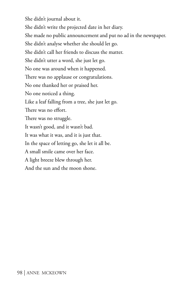She didn't journal about it. She didn't write the projected date in her diary. She made no public announcement and put no ad in the newspaper. She didn't analyse whether she should let go. She didn't call her friends to discuss the matter. She didn't utter a word, she just let go. No one was around when it happened. There was no applause or congratulations. No one thanked her or praised her. No one noticed a thing. Like a leaf falling from a tree, she just let go. There was no effort. There was no struggle. It wasn't good, and it wasn't bad. It was what it was, and it is just that. In the space of letting go, she let it all be. A small smile came over her face. A light breeze blew through her. And the sun and the moon shone.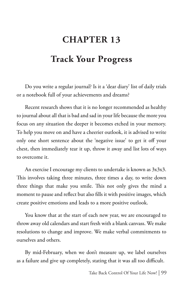# **CHAPTER 13**

## **Track Your Progress**

Do you write a regular journal? Is it a 'dear diary' list of daily trials or a notebook full of your achievements and dreams?

Recent research shows that it is no longer recommended as healthy to journal about all that is bad and sad in your life because the more you focus on any situation the deeper it becomes etched in your memory. To help you move on and have a cheerier outlook, it is advised to write only one short sentence about the 'negative issue' to get it off your chest, then immediately tear it up, throw it away and list lots of ways to overcome it.

An exercise I encourage my clients to undertake is known as  $3x3x3$ . This involves taking three minutes, three times a day, to write down three things that make you smile. This not only gives the mind a moment to pause and reflect but also fills it with positive images, which create positive emotions and leads to a more positive outlook.

You know that at the start of each new year, we are encouraged to throw away old calendars and start fresh with a blank canvass. We make resolutions to change and improve. We make verbal commitments to ourselves and others.

By mid-February, when we don't measure up, we label ourselves as a failure and give up completely, stating that it was all too difficult.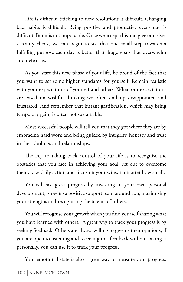Life is difficult. Sticking to new resolutions is difficult. Changing bad habits is difficult. Being positive and productive every day is difficult. But it is not impossible. Once we accept this and give ourselves a reality check, we can begin to see that one small step towards a fulfilling purpose each day is better than huge goals that overwhelm and defeat us.

As you start this new phase of your life, be proud of the fact that you want to set some higher standards for yourself. Remain realistic with your expectations of yourself and others. When our expectations are based on wishful thinking we often end up disappointed and frustrated. And remember that instant gratification, which may bring temporary gain, is often not sustainable.

Most successful people will tell you that they got where they are by embracing hard work and being guided by integrity, honesty and trust in their dealings and relationships.

The key to taking back control of your life is to recognise the obstacles that you face in achieving your goal, set out to overcome them, take daily action and focus on your wins, no matter how small.

You will see great progress by investing in your own personal development, growing a positive support team around you, maximising your strengths and recognising the talents of others.

You will recognise your growth when you find yourself sharing what you have learned with others. A great way to track your progress is by seeking feedback. Others are always willing to give us their opinions; if you are open to listening and receiving this feedback without taking it personally, you can use it to track your progress.

Your emotional state is also a great way to measure your progress.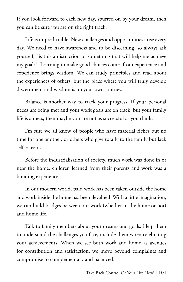If you look forward to each new day, spurred on by your dream, then you can be sure you are on the right track.

Life is unpredictable. New challenges and opportunities arise every day. We need to have awareness and to be discerning, so always ask yourself, "is this a distraction or something that will help me achieve my goal?" Learning to make good choices comes from experience and experience brings wisdom. We can study principles and read about the experiences of others, but the place where you will truly develop discernment and wisdom is on your own journey.

Balance is another way to track your progress. If your personal needs are being met and your work goals are on track, but your family life is a mess, then maybe you are not as successful as you think.

I'm sure we all know of people who have material riches but no time for one another, or others who give totally to the family but lack self-esteem.

Before the industrialisation of society, much work was done in or near the home, children learned from their parents and work was a bonding experience.

In our modern world, paid work has been taken outside the home and work inside the home has been devalued. With a little imagination, we can build bridges between our work (whether in the home or not) and home life.

Talk to family members about your dreams and goals. Help them to understand the challenges you face, include them when celebrating your achievements. When we see both work and home as avenues for contribution and satisfaction, we move beyond complaints and compromise to complementary and balanced.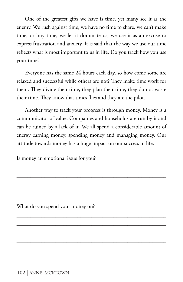One of the greatest gifts we have is time, yet many see it as the enemy. We rush against time, we have no time to share, we can't make time, or buy time, we let it dominate us, we use it as an excuse to express frustration and anxiety. It is said that the way we use our time reflects what is most important to us in life. Do you track how you use your time?

Everyone has the same 24 hours each day, so how come some are relaxed and successful while others are not? They make time work for them. They divide their time, they plan their time, they do not waste their time. They know that times flies and they are the pilot.

Another way to track your progress is through money. Money is a communicator of value. Companies and households are run by it and can be ruined by a lack of it. We all spend a considerable amount of energy earning money, spending money and managing money. Our attitude towards money has a huge impact on our success in life.

\_\_\_\_\_\_\_\_\_\_\_\_\_\_\_\_\_\_\_\_\_\_\_\_\_\_\_\_\_\_\_\_\_\_\_\_\_\_\_\_\_\_\_\_\_\_\_\_\_\_\_\_\_\_ \_\_\_\_\_\_\_\_\_\_\_\_\_\_\_\_\_\_\_\_\_\_\_\_\_\_\_\_\_\_\_\_\_\_\_\_\_\_\_\_\_\_\_\_\_\_\_\_\_\_\_\_\_\_ \_\_\_\_\_\_\_\_\_\_\_\_\_\_\_\_\_\_\_\_\_\_\_\_\_\_\_\_\_\_\_\_\_\_\_\_\_\_\_\_\_\_\_\_\_\_\_\_\_\_\_\_\_\_ \_\_\_\_\_\_\_\_\_\_\_\_\_\_\_\_\_\_\_\_\_\_\_\_\_\_\_\_\_\_\_\_\_\_\_\_\_\_\_\_\_\_\_\_\_\_\_\_\_\_\_\_\_\_

Is money an emotional issue for you?

What do you spend your money on?

102 | ANNE MCKEOWN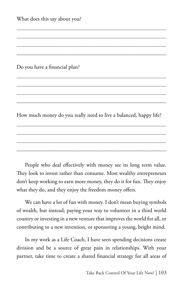What does this say about you?

Do you have a financial plan?

How much money do you really need to live a balanced, happy life?

\_\_\_\_\_\_\_\_\_\_\_\_\_\_\_\_\_\_\_\_\_\_\_\_\_\_\_\_\_\_\_\_\_\_\_\_\_\_\_\_\_\_\_\_\_\_\_\_\_\_\_\_\_\_ \_\_\_\_\_\_\_\_\_\_\_\_\_\_\_\_\_\_\_\_\_\_\_\_\_\_\_\_\_\_\_\_\_\_\_\_\_\_\_\_\_\_\_\_\_\_\_\_\_\_\_\_\_\_ \_\_\_\_\_\_\_\_\_\_\_\_\_\_\_\_\_\_\_\_\_\_\_\_\_\_\_\_\_\_\_\_\_\_\_\_\_\_\_\_\_\_\_\_\_\_\_\_\_\_\_\_\_\_ \_\_\_\_\_\_\_\_\_\_\_\_\_\_\_\_\_\_\_\_\_\_\_\_\_\_\_\_\_\_\_\_\_\_\_\_\_\_\_\_\_\_\_\_\_\_\_\_\_\_\_\_\_\_

People who deal effectively with money see its long term value. They look to invest rather than consume. Most wealthy entrepreneurs don't keep working to earn more money, they do it for fun. They enjoy what they do, and they enjoy the freedom money offers.

We can have a lot of fun with money. I don't mean buying symbols of wealth, but instead; paying your way to volunteer in a third world country or investing in a new venture that improves the world for all, or contributing to a new invention, or sponsoring a young, bright mind.

In my work as a Life Coach, I have seen spending decisions create division and be a source of great pain in relationships. With your partner, take time to create a shared financial strategy for all areas of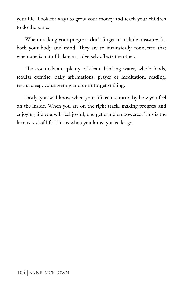your life. Look for ways to grow your money and teach your children to do the same.

When tracking your progress, don't forget to include measures for both your body and mind. They are so intrinsically connected that when one is out of balance it adversely affects the other.

The essentials are: plenty of clean drinking water, whole foods, regular exercise, daily affirmations, prayer or meditation, reading, restful sleep, volunteering and don't forget smiling.

Lastly, you will know when your life is in control by how you feel on the inside. When you are on the right track, making progress and enjoying life you will feel joyful, energetic and empowered. This is the litmus test of life. This is when you know you've let go.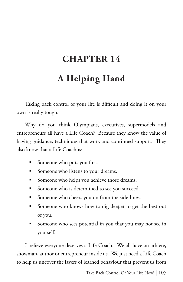## **CHAPTER 14 A Helping Hand**

Taking back control of your life is difficult and doing it on your own is really tough.

Why do you think Olympians, executives, supermodels and entrepreneurs all have a Life Coach? Because they know the value of having guidance, techniques that work and continued support. They also know that a Life Coach is:

- Someone who puts you first.
- Someone who listens to your dreams.
- **Someone who helps you achieve those dreams.**
- Someone who is determined to see you succeed.
- Someone who cheers you on from the side-lines.
- Someone who knows how to dig deeper to get the best out of you.
- Someone who sees potential in you that you may not see in yourself.

I believe everyone deserves a Life Coach. We all have an athlete, showman, author or entrepreneur inside us. We just need a Life Coach to help us uncover the layers of learned behaviour that prevent us from